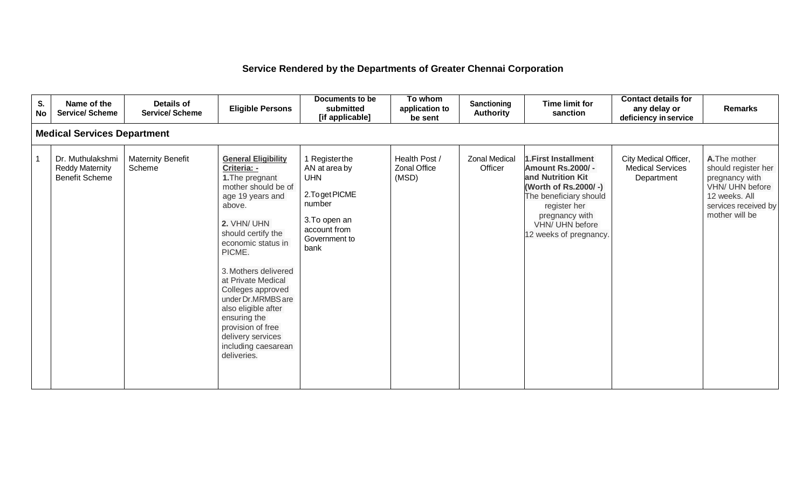## **Service Rendered by the Departments of Greater Chennai Corporation**

| S.<br><b>No</b> | Name of the<br><b>Service/ Scheme</b>                               | <b>Details of</b><br><b>Service/ Scheme</b> | <b>Eligible Persons</b>                                                                                                                                                                                                                                                                                                                                                                                | Documents to be<br>submitted<br>[if applicable]                                                                                     | To whom<br>application to<br>be sent          | <b>Sanctioning</b><br><b>Authority</b> | <b>Time limit for</b><br>sanction                                                                                                                                                                     | <b>Contact details for</b><br>any delay or<br>deficiency in service | <b>Remarks</b>                                                                                                                       |
|-----------------|---------------------------------------------------------------------|---------------------------------------------|--------------------------------------------------------------------------------------------------------------------------------------------------------------------------------------------------------------------------------------------------------------------------------------------------------------------------------------------------------------------------------------------------------|-------------------------------------------------------------------------------------------------------------------------------------|-----------------------------------------------|----------------------------------------|-------------------------------------------------------------------------------------------------------------------------------------------------------------------------------------------------------|---------------------------------------------------------------------|--------------------------------------------------------------------------------------------------------------------------------------|
|                 | <b>Medical Services Department</b>                                  |                                             |                                                                                                                                                                                                                                                                                                                                                                                                        |                                                                                                                                     |                                               |                                        |                                                                                                                                                                                                       |                                                                     |                                                                                                                                      |
|                 | Dr. Muthulakshmi<br><b>Reddy Maternity</b><br><b>Benefit Scheme</b> | <b>Maternity Benefit</b><br>Scheme          | <b>General Eligibility</b><br>Criteria: -<br>1. The pregnant<br>mother should be of<br>age 19 years and<br>above.<br>2. VHN/ UHN<br>should certify the<br>economic status in<br>PICME.<br>3. Mothers delivered<br>at Private Medical<br>Colleges approved<br>under Dr.MRMBS are<br>also eligible after<br>ensuring the<br>provision of free<br>delivery services<br>including caesarean<br>deliveries. | 1 Registerthe<br>AN at area by<br><b>UHN</b><br>2. To get PICME<br>number<br>3. To open an<br>account from<br>Government to<br>bank | Health Post /<br><b>Zonal Office</b><br>(MSD) | <b>Zonal Medical</b><br>Officer        | 1. First Installment<br><b>Amount Rs.2000/-</b><br>and Nutrition Kit<br>(Worth of Rs.2000/-)<br>The beneficiary should<br>register her<br>pregnancy with<br>VHN/ UHN before<br>12 weeks of pregnancy. | City Medical Officer,<br><b>Medical Services</b><br>Department      | A. The mother<br>should register her<br>pregnancy with<br>VHN/ UHN before<br>12 weeks. All<br>services received by<br>mother will be |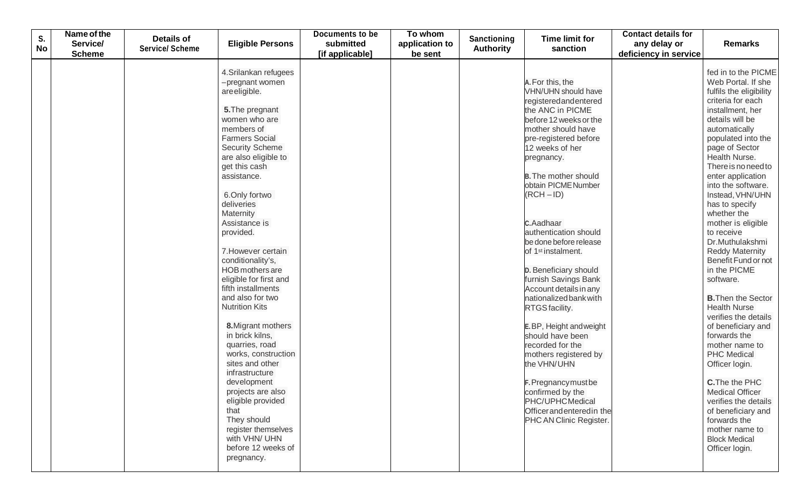| S.<br><b>No</b> | Name of the<br>Service/<br><b>Scheme</b> | <b>Details of</b><br><b>Service/ Scheme</b> | <b>Eligible Persons</b>                                                                                                                                                                                                                                                                                                                                                                                                                                                                                                                                                                                                                                                                                                                        | <b>Documents to be</b><br>submitted<br>[if applicable] | To whom<br>application to<br>be sent | Sanctioning<br><b>Authority</b> | <b>Time limit for</b><br>sanction                                                                                                                                                                                                                                                                                                                                                                                                                                                                                                                                                                                                                                                                                                   | <b>Contact details for</b><br>any delay or<br>deficiency in service | <b>Remarks</b>                                                                                                                                                                                                                                                                                                                                                                                                                                                                                                                                                                                                                                                                                                                                                                                                                  |
|-----------------|------------------------------------------|---------------------------------------------|------------------------------------------------------------------------------------------------------------------------------------------------------------------------------------------------------------------------------------------------------------------------------------------------------------------------------------------------------------------------------------------------------------------------------------------------------------------------------------------------------------------------------------------------------------------------------------------------------------------------------------------------------------------------------------------------------------------------------------------------|--------------------------------------------------------|--------------------------------------|---------------------------------|-------------------------------------------------------------------------------------------------------------------------------------------------------------------------------------------------------------------------------------------------------------------------------------------------------------------------------------------------------------------------------------------------------------------------------------------------------------------------------------------------------------------------------------------------------------------------------------------------------------------------------------------------------------------------------------------------------------------------------------|---------------------------------------------------------------------|---------------------------------------------------------------------------------------------------------------------------------------------------------------------------------------------------------------------------------------------------------------------------------------------------------------------------------------------------------------------------------------------------------------------------------------------------------------------------------------------------------------------------------------------------------------------------------------------------------------------------------------------------------------------------------------------------------------------------------------------------------------------------------------------------------------------------------|
|                 |                                          |                                             | 4. Srilankan refugees<br>-pregnant women<br>are eligible.<br>5. The pregnant<br>women who are<br>members of<br><b>Farmers Social</b><br><b>Security Scheme</b><br>are also eligible to<br>get this cash<br>assistance.<br>6.Only fortwo<br>deliveries<br>Maternity<br>Assistance is<br>provided.<br>7. However certain<br>conditionality's,<br>HOB mothers are<br>eligible for first and<br>fifth installments<br>and also for two<br><b>Nutrition Kits</b><br>8. Migrant mothers<br>in brick kilns,<br>quarries, road<br>works, construction<br>sites and other<br>infrastructure<br>development<br>projects are also<br>eligible provided<br>that<br>They should<br>register themselves<br>with VHN/ UHN<br>before 12 weeks of<br>pregnancy. |                                                        |                                      |                                 | A. For this, the<br><b>VHN/UHN should have</b><br>registeredandentered<br>the ANC in PICME<br>before 12 weeks or the<br>mother should have<br>pre-registered before<br>12 weeks of her<br>pregnancy.<br><b>B.</b> The mother should<br>obtain PICME Number<br>$(RCH - ID)$<br>C.Aadhaar<br>authentication should<br>be done before release<br>of 1 <sup>st</sup> instalment.<br>D. Beneficiary should<br>furnish Savings Bank<br>Account details in any<br>nationalized bank with<br>RTGS facility.<br>E.BP, Height and weight<br>should have been<br>recorded for the<br>mothers registered by<br>the VHN/UHN<br>F. Pregnancy must be<br>confirmed by the<br>PHC/UPHCMedical<br>Officerandenteredin the<br>PHC AN Clinic Register. |                                                                     | fed in to the PICME<br>Web Portal. If she<br>fulfils the eligibility<br>criteria for each<br>installment, her<br>details will be<br>automatically<br>populated into the<br>page of Sector<br>Health Nurse.<br>There is no need to<br>enter application<br>into the software.<br>Instead, VHN/UHN<br>has to specify<br>whether the<br>mother is eligible<br>to receive<br>Dr.Muthulakshmi<br><b>Reddy Maternity</b><br>Benefit Fund or not<br>in the PICME<br>software.<br><b>B.</b> Then the Sector<br><b>Health Nurse</b><br>verifies the details<br>of beneficiary and<br>forwards the<br>mother name to<br><b>PHC Medical</b><br>Officer login.<br><b>C.</b> The the PHC<br><b>Medical Officer</b><br>verifies the details<br>of beneficiary and<br>forwards the<br>mother name to<br><b>Block Medical</b><br>Officer login. |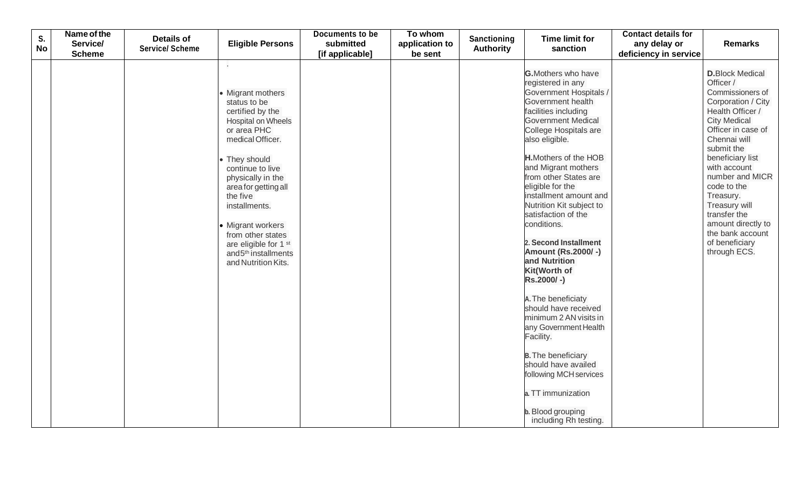| S.<br><b>No</b> | Name of the<br>Service/ | <b>Details of</b><br><b>Service/ Scheme</b> | <b>Eligible Persons</b>                                                                                                                                                                                                                                                                                                                                                     | <b>Documents to be</b><br>submitted | To whom<br>application to | <b>Sanctioning</b><br><b>Authority</b> | <b>Time limit for</b><br>sanction                                                                                                                                                                                                                                                                                                                                                                                                                                                                                                                                                                                                                                                                                                          | <b>Contact details for</b><br>any delay or | <b>Remarks</b>                                                                                                                                                                                                                                                                                                                                                                |
|-----------------|-------------------------|---------------------------------------------|-----------------------------------------------------------------------------------------------------------------------------------------------------------------------------------------------------------------------------------------------------------------------------------------------------------------------------------------------------------------------------|-------------------------------------|---------------------------|----------------------------------------|--------------------------------------------------------------------------------------------------------------------------------------------------------------------------------------------------------------------------------------------------------------------------------------------------------------------------------------------------------------------------------------------------------------------------------------------------------------------------------------------------------------------------------------------------------------------------------------------------------------------------------------------------------------------------------------------------------------------------------------------|--------------------------------------------|-------------------------------------------------------------------------------------------------------------------------------------------------------------------------------------------------------------------------------------------------------------------------------------------------------------------------------------------------------------------------------|
|                 | <b>Scheme</b>           |                                             |                                                                                                                                                                                                                                                                                                                                                                             | [if applicable]                     | be sent                   |                                        |                                                                                                                                                                                                                                                                                                                                                                                                                                                                                                                                                                                                                                                                                                                                            | deficiency in service                      |                                                                                                                                                                                                                                                                                                                                                                               |
|                 |                         |                                             | k.<br><b>Migrant mothers</b><br>status to be<br>certified by the<br><b>Hospital on Wheels</b><br>or area PHC<br>medical Officer.<br>They should<br>continue to live<br>physically in the<br>area for getting all<br>the five<br>installments.<br>• Migrant workers<br>from other states<br>are eligible for 1 st<br>and 5 <sup>th</sup> installments<br>and Nutrition Kits. |                                     |                           |                                        | <b>G.</b> Mothers who have<br>registered in any<br>Government Hospitals /<br>Government health<br>facilities including<br><b>Government Medical</b><br>College Hospitals are<br>also eligible.<br><b>H.</b> Mothers of the HOB<br>and Migrant mothers<br>from other States are<br>eligible for the<br>installment amount and<br>Nutrition Kit subject to<br>satisfaction of the<br>conditions.<br>2. Second Installment<br><b>Amount (Rs.2000/-)</b><br>and Nutrition<br>Kit(Worth of<br>Rs.2000/-)<br>A. The beneficiaty<br>should have received<br>minimum 2 AN visits in<br>any Government Health<br>Facility.<br><b>B.</b> The beneficiary<br>should have availed<br>following MCH services<br>a. TT immunization<br>b. Blood grouping |                                            | <b>D.</b> Block Medical<br>Officer /<br>Commissioners of<br>Corporation / City<br>Health Officer /<br><b>City Medical</b><br>Officer in case of<br>Chennai will<br>submit the<br>beneficiary list<br>with account<br>number and MICR<br>code to the<br>Treasury.<br>Treasury will<br>transfer the<br>amount directly to<br>the bank account<br>of beneficiary<br>through ECS. |
|                 |                         |                                             |                                                                                                                                                                                                                                                                                                                                                                             |                                     |                           |                                        | including Rh testing.                                                                                                                                                                                                                                                                                                                                                                                                                                                                                                                                                                                                                                                                                                                      |                                            |                                                                                                                                                                                                                                                                                                                                                                               |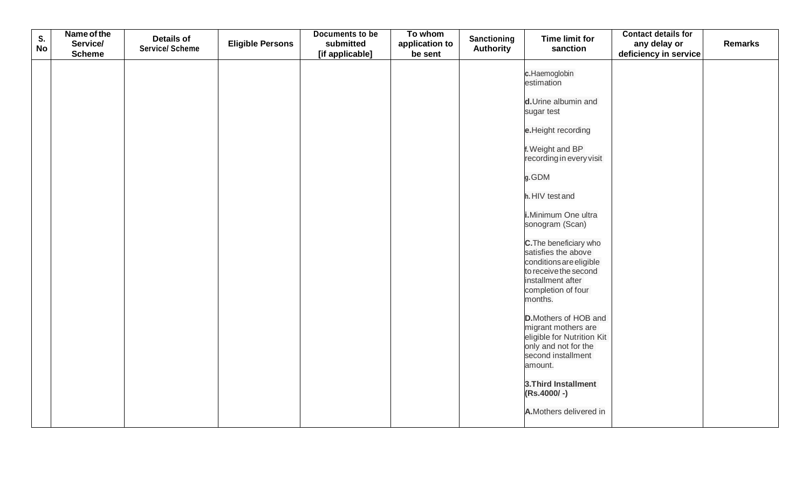| S.        | Name of the<br>Service/ | <b>Details of</b>      | <b>Eligible Persons</b> | <b>Documents to be</b><br>submitted | To whom<br>application to | Sanctioning      | <b>Time limit for</b>                                                                                                                                   | <b>Contact details for</b><br>any delay or | <b>Remarks</b> |
|-----------|-------------------------|------------------------|-------------------------|-------------------------------------|---------------------------|------------------|---------------------------------------------------------------------------------------------------------------------------------------------------------|--------------------------------------------|----------------|
| <b>No</b> | <b>Scheme</b>           | <b>Service/ Scheme</b> |                         | [if applicable]                     | be sent                   | <b>Authority</b> | sanction                                                                                                                                                | deficiency in service                      |                |
|           |                         |                        |                         |                                     |                           |                  | c.Haemoglobin<br>estimation                                                                                                                             |                                            |                |
|           |                         |                        |                         |                                     |                           |                  | d.Urine albumin and<br>sugar test                                                                                                                       |                                            |                |
|           |                         |                        |                         |                                     |                           |                  | e.Height recording                                                                                                                                      |                                            |                |
|           |                         |                        |                         |                                     |                           |                  | f. Weight and BP<br>recording in every visit                                                                                                            |                                            |                |
|           |                         |                        |                         |                                     |                           |                  | g.GDM                                                                                                                                                   |                                            |                |
|           |                         |                        |                         |                                     |                           |                  | h. HIV test and                                                                                                                                         |                                            |                |
|           |                         |                        |                         |                                     |                           |                  | i.Minimum One ultra<br>sonogram (Scan)                                                                                                                  |                                            |                |
|           |                         |                        |                         |                                     |                           |                  | C. The beneficiary who<br>satisfies the above<br>conditions are eligible<br>to receive the second<br>installment after<br>completion of four<br>months. |                                            |                |
|           |                         |                        |                         |                                     |                           |                  | <b>D.</b> Mothers of HOB and<br>migrant mothers are<br>eligible for Nutrition Kit<br>only and not for the<br>second installment<br>amount.              |                                            |                |
|           |                         |                        |                         |                                     |                           |                  | 3. Third Installment<br>(Rs.4000/-)                                                                                                                     |                                            |                |
|           |                         |                        |                         |                                     |                           |                  | A.Mothers delivered in                                                                                                                                  |                                            |                |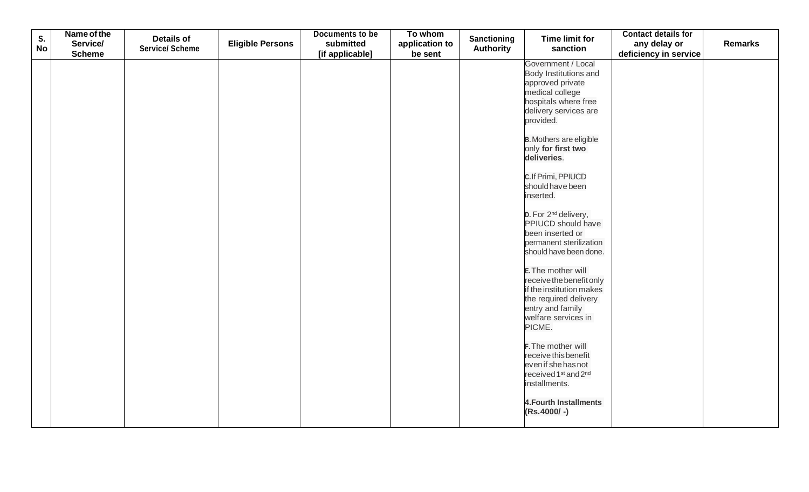| S.        | Name of the               | <b>Details of</b>      |                         | Documents to be | To whom                   | Sanctioning      | <b>Time limit for</b>                                                                                                                                                                                                                                                                                                                                                                                                                                                                                                                                                                                                                                                                                                                                | <b>Contact details for</b>            |                |
|-----------|---------------------------|------------------------|-------------------------|-----------------|---------------------------|------------------|------------------------------------------------------------------------------------------------------------------------------------------------------------------------------------------------------------------------------------------------------------------------------------------------------------------------------------------------------------------------------------------------------------------------------------------------------------------------------------------------------------------------------------------------------------------------------------------------------------------------------------------------------------------------------------------------------------------------------------------------------|---------------------------------------|----------------|
| <b>No</b> | Service/<br><b>Scheme</b> | <b>Service/ Scheme</b> | <b>Eligible Persons</b> | submitted       | application to<br>be sent | <b>Authority</b> | sanction                                                                                                                                                                                                                                                                                                                                                                                                                                                                                                                                                                                                                                                                                                                                             | any delay or<br>deficiency in service | <b>Remarks</b> |
|           |                           |                        |                         | [if applicable] |                           |                  | Government / Local<br>Body Institutions and<br>approved private<br>medical college<br>hospitals where free<br>delivery services are<br>provided.<br><b>B.</b> Mothers are eligible<br>only for first two<br>deliveries.<br>C.If Primi, PPIUCD<br>should have been<br>inserted.<br>D. For 2 <sup>nd</sup> delivery,<br>PPIUCD should have<br>been inserted or<br>permanent sterilization<br>should have been done.<br>E. The mother will<br>receive the benefit only<br>if the institution makes<br>the required delivery<br>entry and family<br>welfare services in<br>PICME.<br>F. The mother will<br>receive this benefit<br>even if she has not<br>received 1 <sup>st</sup> and 2 <sup>nd</sup><br>installments.<br><b>4. Fourth Installments</b> |                                       |                |
|           |                           |                        |                         |                 |                           |                  | (Rs.4000/-)                                                                                                                                                                                                                                                                                                                                                                                                                                                                                                                                                                                                                                                                                                                                          |                                       |                |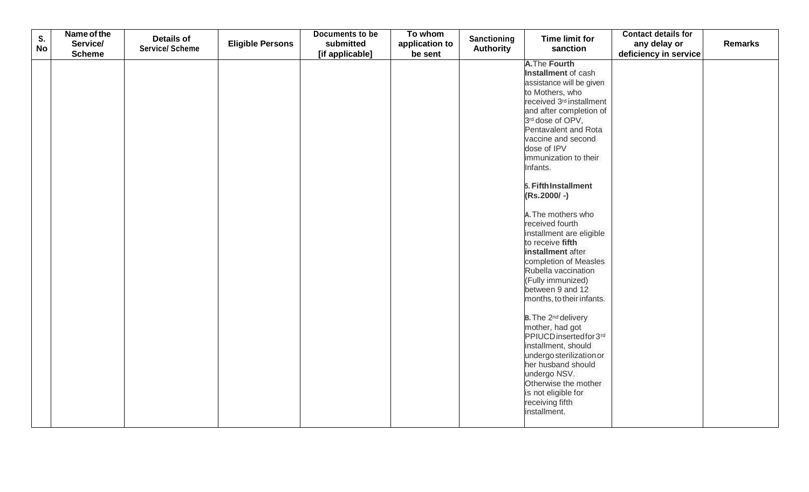| S.        | Name of the   | <b>Details of</b>      |                         | Documents to be | To whom        |                                 | <b>Time limit for</b>                          | <b>Contact details for</b> |                |
|-----------|---------------|------------------------|-------------------------|-----------------|----------------|---------------------------------|------------------------------------------------|----------------------------|----------------|
| <b>No</b> | Service/      | <b>Service/ Scheme</b> | <b>Eligible Persons</b> | submitted       | application to | Sanctioning<br><b>Authority</b> | sanction                                       | any delay or               | <b>Remarks</b> |
|           | <b>Scheme</b> |                        |                         | [if applicable] | be sent        |                                 |                                                | deficiency in service      |                |
|           |               |                        |                         |                 |                |                                 | <b>A.The Fourth</b>                            |                            |                |
|           |               |                        |                         |                 |                |                                 | Installment of cash                            |                            |                |
|           |               |                        |                         |                 |                |                                 | assistance will be given                       |                            |                |
|           |               |                        |                         |                 |                |                                 | to Mothers, who                                |                            |                |
|           |               |                        |                         |                 |                |                                 | received 3 <sup>rd</sup> installment           |                            |                |
|           |               |                        |                         |                 |                |                                 | and after completion of                        |                            |                |
|           |               |                        |                         |                 |                |                                 | 3rd dose of OPV,                               |                            |                |
|           |               |                        |                         |                 |                |                                 | Pentavalent and Rota                           |                            |                |
|           |               |                        |                         |                 |                |                                 | vaccine and second                             |                            |                |
|           |               |                        |                         |                 |                |                                 | dose of IPV                                    |                            |                |
|           |               |                        |                         |                 |                |                                 | immunization to their                          |                            |                |
|           |               |                        |                         |                 |                |                                 | Infants.                                       |                            |                |
|           |               |                        |                         |                 |                |                                 | 5. Fifth Installment                           |                            |                |
|           |               |                        |                         |                 |                |                                 | $(Rs.2000/-)$                                  |                            |                |
|           |               |                        |                         |                 |                |                                 |                                                |                            |                |
|           |               |                        |                         |                 |                |                                 | A. The mothers who                             |                            |                |
|           |               |                        |                         |                 |                |                                 | received fourth                                |                            |                |
|           |               |                        |                         |                 |                |                                 | installment are eligible                       |                            |                |
|           |               |                        |                         |                 |                |                                 | to receive fifth                               |                            |                |
|           |               |                        |                         |                 |                |                                 | installment after                              |                            |                |
|           |               |                        |                         |                 |                |                                 | completion of Measles                          |                            |                |
|           |               |                        |                         |                 |                |                                 | Rubella vaccination                            |                            |                |
|           |               |                        |                         |                 |                |                                 | (Fully immunized)                              |                            |                |
|           |               |                        |                         |                 |                |                                 | between 9 and 12                               |                            |                |
|           |               |                        |                         |                 |                |                                 | months, to their infants.                      |                            |                |
|           |               |                        |                         |                 |                |                                 |                                                |                            |                |
|           |               |                        |                         |                 |                |                                 | B. The 2 <sup>nd</sup> delivery                |                            |                |
|           |               |                        |                         |                 |                |                                 | mother, had got                                |                            |                |
|           |               |                        |                         |                 |                |                                 | PPIUCD insertedfor 3rd                         |                            |                |
|           |               |                        |                         |                 |                |                                 | installment, should                            |                            |                |
|           |               |                        |                         |                 |                |                                 | undergo sterilization or<br>her husband should |                            |                |
|           |               |                        |                         |                 |                |                                 | undergo NSV.                                   |                            |                |
|           |               |                        |                         |                 |                |                                 | Otherwise the mother                           |                            |                |
|           |               |                        |                         |                 |                |                                 | is not eligible for                            |                            |                |
|           |               |                        |                         |                 |                |                                 | receiving fifth                                |                            |                |
|           |               |                        |                         |                 |                |                                 | installment.                                   |                            |                |
|           |               |                        |                         |                 |                |                                 |                                                |                            |                |
|           |               |                        |                         |                 |                |                                 |                                                |                            |                |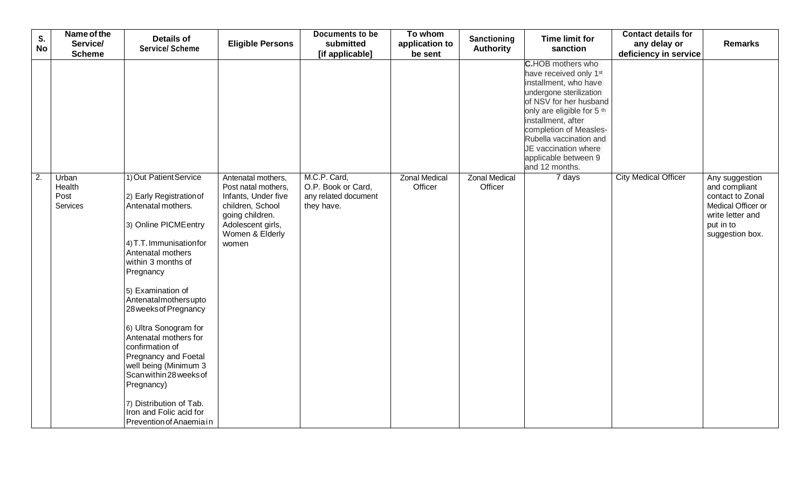| S.<br><b>No</b>  | Name of the<br>Service/             | <b>Details of</b><br><b>Service/ Scheme</b>                                                                                                                                                                                                                                                                                                                                                                                                                                                                 | <b>Eligible Persons</b>                                                                                                                                  | Documents to be<br>submitted                                             | To whom<br>application to       | Sanctioning<br><b>Authority</b> | <b>Time limit for</b><br>sanction                                                                                                                                                                                                                                                                                                   | <b>Contact details for</b><br>any delay or | <b>Remarks</b>                                                                                                                |
|------------------|-------------------------------------|-------------------------------------------------------------------------------------------------------------------------------------------------------------------------------------------------------------------------------------------------------------------------------------------------------------------------------------------------------------------------------------------------------------------------------------------------------------------------------------------------------------|----------------------------------------------------------------------------------------------------------------------------------------------------------|--------------------------------------------------------------------------|---------------------------------|---------------------------------|-------------------------------------------------------------------------------------------------------------------------------------------------------------------------------------------------------------------------------------------------------------------------------------------------------------------------------------|--------------------------------------------|-------------------------------------------------------------------------------------------------------------------------------|
|                  | <b>Scheme</b>                       |                                                                                                                                                                                                                                                                                                                                                                                                                                                                                                             |                                                                                                                                                          | [if applicable]                                                          | be sent                         |                                 |                                                                                                                                                                                                                                                                                                                                     | deficiency in service                      |                                                                                                                               |
|                  |                                     |                                                                                                                                                                                                                                                                                                                                                                                                                                                                                                             |                                                                                                                                                          |                                                                          |                                 |                                 | <b>C.</b> HOB mothers who<br>have received only 1 <sup>st</sup><br>installment, who have<br>undergone sterilization<br>of NSV for her husband<br>only are eligible for 5 <sup>th</sup><br>installment, after<br>completion of Measles-<br>Rubella vaccination and<br>JE vaccination where<br>applicable between 9<br>and 12 months. |                                            |                                                                                                                               |
| $\overline{2}$ . | Urban<br>Health<br>Post<br>Services | 1) Out Patient Service<br>2) Early Registration of<br>Antenatal mothers.<br>3) Online PICME entry<br>4) T.T. Immunisation for<br>Antenatal mothers<br>within 3 months of<br>Pregnancy<br>5) Examination of<br>Antenatalmothersupto<br>28 weeks of Pregnancy<br>6) Ultra Sonogram for<br>Antenatal mothers for<br>confirmation of<br>Pregnancy and Foetal<br>well being (Minimum 3<br>Scan within 28 weeks of<br>Pregnancy)<br>7) Distribution of Tab.<br>Iron and Folic acid for<br>Prevention of Anaemiain | Antenatal mothers,<br>Post natal mothers,<br>Infants, Under five<br>children, School<br>going children.<br>Adolescent girls,<br>Women & Elderly<br>women | M.C.P. Card,<br>O.P. Book or Card,<br>any related document<br>they have. | <b>Zonal Medical</b><br>Officer | <b>Zonal Medical</b><br>Officer | 7 days                                                                                                                                                                                                                                                                                                                              | <b>City Medical Officer</b>                | Any suggestion<br>and compliant<br>contact to Zonal<br>Medical Officer or<br>write letter and<br>put in to<br>suggestion box. |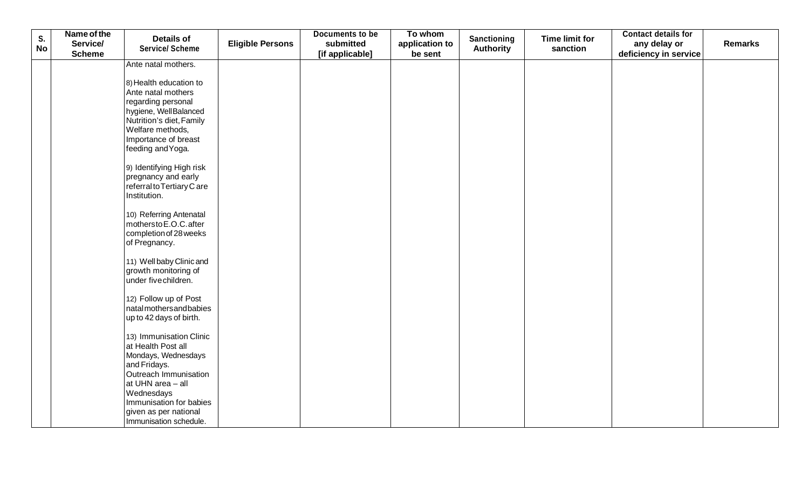| S.        | Name of the               | <b>Details of</b>                            |                         | Documents to be              | To whom                   | <b>Sanctioning</b> | <b>Time limit for</b> | <b>Contact details for</b>            |                |
|-----------|---------------------------|----------------------------------------------|-------------------------|------------------------------|---------------------------|--------------------|-----------------------|---------------------------------------|----------------|
| <b>No</b> | Service/<br><b>Scheme</b> | <b>Service/ Scheme</b>                       | <b>Eligible Persons</b> | submitted<br>[if applicable] | application to<br>be sent | <b>Authority</b>   | sanction              | any delay or<br>deficiency in service | <b>Remarks</b> |
|           |                           | Ante natal mothers.                          |                         |                              |                           |                    |                       |                                       |                |
|           |                           |                                              |                         |                              |                           |                    |                       |                                       |                |
|           |                           | 8) Health education to<br>Ante natal mothers |                         |                              |                           |                    |                       |                                       |                |
|           |                           | regarding personal                           |                         |                              |                           |                    |                       |                                       |                |
|           |                           | hygiene, WellBalanced                        |                         |                              |                           |                    |                       |                                       |                |
|           |                           | Nutrition's diet, Family                     |                         |                              |                           |                    |                       |                                       |                |
|           |                           | Welfare methods,                             |                         |                              |                           |                    |                       |                                       |                |
|           |                           | Importance of breast                         |                         |                              |                           |                    |                       |                                       |                |
|           |                           | feeding and Yoga.                            |                         |                              |                           |                    |                       |                                       |                |
|           |                           | 9) Identifying High risk                     |                         |                              |                           |                    |                       |                                       |                |
|           |                           | pregnancy and early                          |                         |                              |                           |                    |                       |                                       |                |
|           |                           | referral to Tertiary C are                   |                         |                              |                           |                    |                       |                                       |                |
|           |                           | Institution.                                 |                         |                              |                           |                    |                       |                                       |                |
|           |                           | 10) Referring Antenatal                      |                         |                              |                           |                    |                       |                                       |                |
|           |                           | mothersto E.O.C. after                       |                         |                              |                           |                    |                       |                                       |                |
|           |                           | completion of 28 weeks                       |                         |                              |                           |                    |                       |                                       |                |
|           |                           | of Pregnancy.                                |                         |                              |                           |                    |                       |                                       |                |
|           |                           | 11) Well baby Clinic and                     |                         |                              |                           |                    |                       |                                       |                |
|           |                           | growth monitoring of                         |                         |                              |                           |                    |                       |                                       |                |
|           |                           | under fivechildren.                          |                         |                              |                           |                    |                       |                                       |                |
|           |                           | 12) Follow up of Post                        |                         |                              |                           |                    |                       |                                       |                |
|           |                           | natalmothersandbabies                        |                         |                              |                           |                    |                       |                                       |                |
|           |                           | up to 42 days of birth.                      |                         |                              |                           |                    |                       |                                       |                |
|           |                           | 13) Immunisation Clinic                      |                         |                              |                           |                    |                       |                                       |                |
|           |                           | at Health Post all                           |                         |                              |                           |                    |                       |                                       |                |
|           |                           | Mondays, Wednesdays                          |                         |                              |                           |                    |                       |                                       |                |
|           |                           | and Fridays.<br>Outreach Immunisation        |                         |                              |                           |                    |                       |                                       |                |
|           |                           | at UHN area - all                            |                         |                              |                           |                    |                       |                                       |                |
|           |                           | Wednesdays                                   |                         |                              |                           |                    |                       |                                       |                |
|           |                           | Immunisation for babies                      |                         |                              |                           |                    |                       |                                       |                |
|           |                           | given as per national                        |                         |                              |                           |                    |                       |                                       |                |
|           |                           | Immunisation schedule.                       |                         |                              |                           |                    |                       |                                       |                |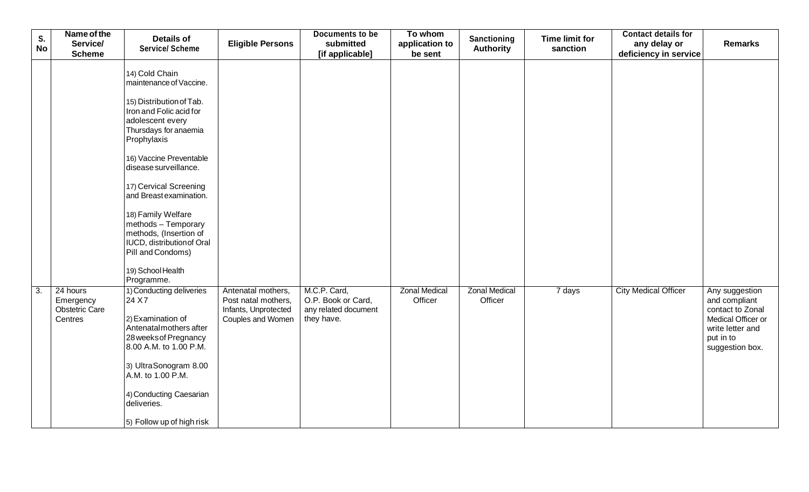| S.<br><b>No</b>  | Name of the<br>Service/                                   | <b>Details of</b><br><b>Service/ Scheme</b>                                                                                                                                                                      | <b>Eligible Persons</b>                                                                | Documents to be<br>submitted                                             | To whom<br>application to       | Sanctioning<br><b>Authority</b> | <b>Time limit for</b><br>sanction | <b>Contact details for</b><br>any delay or | <b>Remarks</b>                                                                                                                |
|------------------|-----------------------------------------------------------|------------------------------------------------------------------------------------------------------------------------------------------------------------------------------------------------------------------|----------------------------------------------------------------------------------------|--------------------------------------------------------------------------|---------------------------------|---------------------------------|-----------------------------------|--------------------------------------------|-------------------------------------------------------------------------------------------------------------------------------|
|                  | <b>Scheme</b>                                             |                                                                                                                                                                                                                  |                                                                                        | [if applicable]                                                          | be sent                         |                                 |                                   | deficiency in service                      |                                                                                                                               |
|                  |                                                           | 14) Cold Chain<br>maintenance of Vaccine.<br>15) Distribution of Tab.<br>Iron and Folic acid for<br>adolescent every<br>Thursdays for anaemia<br>Prophylaxis<br>16) Vaccine Preventable<br>disease surveillance. |                                                                                        |                                                                          |                                 |                                 |                                   |                                            |                                                                                                                               |
|                  |                                                           | 17) Cervical Screening<br>and Breast examination.                                                                                                                                                                |                                                                                        |                                                                          |                                 |                                 |                                   |                                            |                                                                                                                               |
|                  |                                                           | 18) Family Welfare<br>methods - Temporary<br>methods, (Insertion of<br>IUCD, distribution of Oral<br>Pill and Condoms)                                                                                           |                                                                                        |                                                                          |                                 |                                 |                                   |                                            |                                                                                                                               |
|                  |                                                           | 19) School Health<br>Programme.                                                                                                                                                                                  |                                                                                        |                                                                          |                                 |                                 |                                   |                                            |                                                                                                                               |
| $\overline{3}$ . | 24 hours<br>Emergency<br><b>Obstetric Care</b><br>Centres | 1) Conducting deliveries<br>24 X 7<br>2) Examination of<br>Antenatal mothers after<br>28 weeks of Pregnancy<br>8.00 A.M. to 1.00 P.M.<br>3) UltraSonogram 8.00                                                   | Antenatal mothers,<br>Post natal mothers,<br>Infants, Unprotected<br>Couples and Women | M.C.P. Card,<br>O.P. Book or Card,<br>any related document<br>they have. | <b>Zonal Medical</b><br>Officer | <b>Zonal Medical</b><br>Officer | 7 days                            | <b>City Medical Officer</b>                | Any suggestion<br>and compliant<br>contact to Zonal<br>Medical Officer or<br>write letter and<br>put in to<br>suggestion box. |
|                  |                                                           | A.M. to 1.00 P.M.<br>4) Conducting Caesarian<br>deliveries.<br>5) Follow up of high risk                                                                                                                         |                                                                                        |                                                                          |                                 |                                 |                                   |                                            |                                                                                                                               |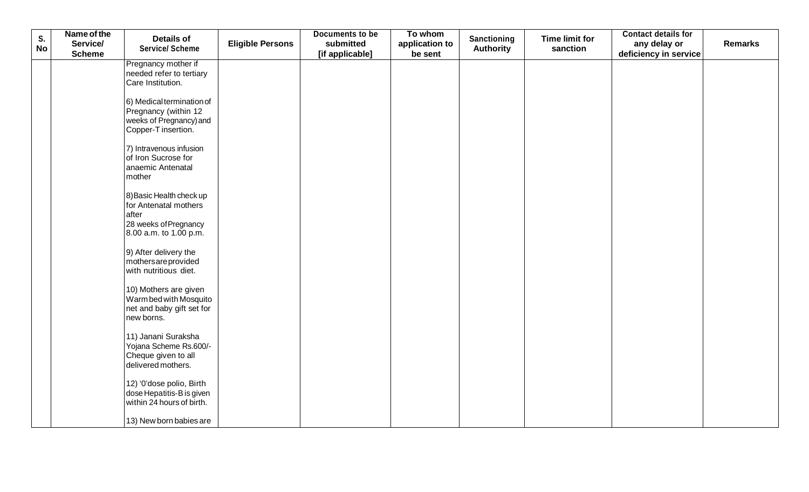| S.        | Name of the               | <b>Details of</b>                                                                                             |                         | <b>Documents to be</b>       | To whom                   | <b>Sanctioning</b> | <b>Time limit for</b> | <b>Contact details for</b>            |         |
|-----------|---------------------------|---------------------------------------------------------------------------------------------------------------|-------------------------|------------------------------|---------------------------|--------------------|-----------------------|---------------------------------------|---------|
| <b>No</b> | Service/<br><b>Scheme</b> | <b>Service/ Scheme</b>                                                                                        | <b>Eligible Persons</b> | submitted<br>[if applicable] | application to<br>be sent | <b>Authority</b>   | sanction              | any delay or<br>deficiency in service | Remarks |
|           |                           | Pregnancy mother if<br>needed refer to tertiary<br>Care Institution.                                          |                         |                              |                           |                    |                       |                                       |         |
|           |                           | 6) Medical termination of<br>Pregnancy (within 12<br>weeks of Pregnancy) and<br>Copper-T insertion.           |                         |                              |                           |                    |                       |                                       |         |
|           |                           | 7) Intravenous infusion<br>of Iron Sucrose for<br>anaemic Antenatal<br>mother                                 |                         |                              |                           |                    |                       |                                       |         |
|           |                           | 8) Basic Health check up<br>for Antenatal mothers<br>after<br>28 weeks of Pregnancy<br>8.00 a.m. to 1.00 p.m. |                         |                              |                           |                    |                       |                                       |         |
|           |                           | 9) After delivery the<br>mothersareprovided<br>with nutritious diet.                                          |                         |                              |                           |                    |                       |                                       |         |
|           |                           | 10) Mothers are given<br>Warm bed with Mosquito<br>net and baby gift set for<br>new borns.                    |                         |                              |                           |                    |                       |                                       |         |
|           |                           | 11) Janani Suraksha<br>Yojana Scheme Rs.600/-<br>Cheque given to all<br>delivered mothers.                    |                         |                              |                           |                    |                       |                                       |         |
|           |                           | 12) '0'dose polio, Birth<br>dose Hepatitis-B is given<br>within 24 hours of birth.                            |                         |                              |                           |                    |                       |                                       |         |
|           |                           | 13) New born babies are                                                                                       |                         |                              |                           |                    |                       |                                       |         |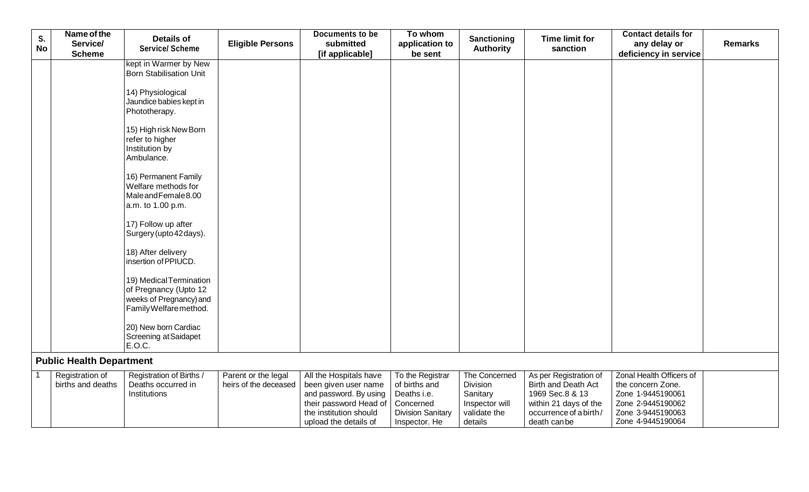| S.<br><b>No</b> | Name of the<br>Service/<br><b>Scheme</b> | <b>Details of</b><br><b>Service/ Scheme</b>                                                           | <b>Eligible Persons</b>                      | Documents to be<br>submitted<br>[if applicable]                                                                                                       | To whom<br>application to<br>be sent                                                                       | <b>Sanctioning</b><br><b>Authority</b>                                             | <b>Time limit for</b><br>sanction                                                                                                  | <b>Contact details for</b><br>any delay or<br>deficiency in service                                                               | <b>Remarks</b> |
|-----------------|------------------------------------------|-------------------------------------------------------------------------------------------------------|----------------------------------------------|-------------------------------------------------------------------------------------------------------------------------------------------------------|------------------------------------------------------------------------------------------------------------|------------------------------------------------------------------------------------|------------------------------------------------------------------------------------------------------------------------------------|-----------------------------------------------------------------------------------------------------------------------------------|----------------|
|                 |                                          | kept in Warmer by New<br><b>Born Stabilisation Unit</b>                                               |                                              |                                                                                                                                                       |                                                                                                            |                                                                                    |                                                                                                                                    |                                                                                                                                   |                |
|                 |                                          | 14) Physiological<br>Jaundice babies kept in<br>Phototherapy.                                         |                                              |                                                                                                                                                       |                                                                                                            |                                                                                    |                                                                                                                                    |                                                                                                                                   |                |
|                 |                                          | 15) High risk New Born<br>refer to higher<br>Institution by<br>Ambulance.                             |                                              |                                                                                                                                                       |                                                                                                            |                                                                                    |                                                                                                                                    |                                                                                                                                   |                |
|                 |                                          | 16) Permanent Family<br>Welfare methods for<br>MaleandFemale 8.00<br>a.m. to 1.00 p.m.                |                                              |                                                                                                                                                       |                                                                                                            |                                                                                    |                                                                                                                                    |                                                                                                                                   |                |
|                 |                                          | 17) Follow up after<br>Surgery (upto 42 days).                                                        |                                              |                                                                                                                                                       |                                                                                                            |                                                                                    |                                                                                                                                    |                                                                                                                                   |                |
|                 |                                          | 18) After delivery<br>insertion of PPIUCD.                                                            |                                              |                                                                                                                                                       |                                                                                                            |                                                                                    |                                                                                                                                    |                                                                                                                                   |                |
|                 |                                          | 19) Medical Termination<br>of Pregnancy (Upto 12<br>weeks of Pregnancy) and<br>Family Welfare method. |                                              |                                                                                                                                                       |                                                                                                            |                                                                                    |                                                                                                                                    |                                                                                                                                   |                |
|                 |                                          | 20) New born Cardiac<br>Screening at Saidapet<br>E.O.C.                                               |                                              |                                                                                                                                                       |                                                                                                            |                                                                                    |                                                                                                                                    |                                                                                                                                   |                |
|                 | <b>Public Health Department</b>          |                                                                                                       |                                              |                                                                                                                                                       |                                                                                                            |                                                                                    |                                                                                                                                    |                                                                                                                                   |                |
|                 | Registration of<br>births and deaths     | Registration of Births /<br>Deaths occurred in<br>Institutions                                        | Parent or the legal<br>heirs of the deceased | All the Hospitals have<br>been given user name<br>and password. By using<br>their password Head of<br>the institution should<br>upload the details of | To the Registrar<br>of births and<br>Deaths i.e.<br>Concerned<br><b>Division Sanitary</b><br>Inspector. He | The Concerned<br>Division<br>Sanitary<br>Inspector will<br>validate the<br>details | As per Registration of<br>Birth and Death Act<br>1969 Sec.8 & 13<br>within 21 days of the<br>occurrence of a birth/<br>death canbe | Zonal Health Officers of<br>the concern Zone.<br>Zone 1-9445190061<br>Zone 2-9445190062<br>Zone 3-9445190063<br>Zone 4-9445190064 |                |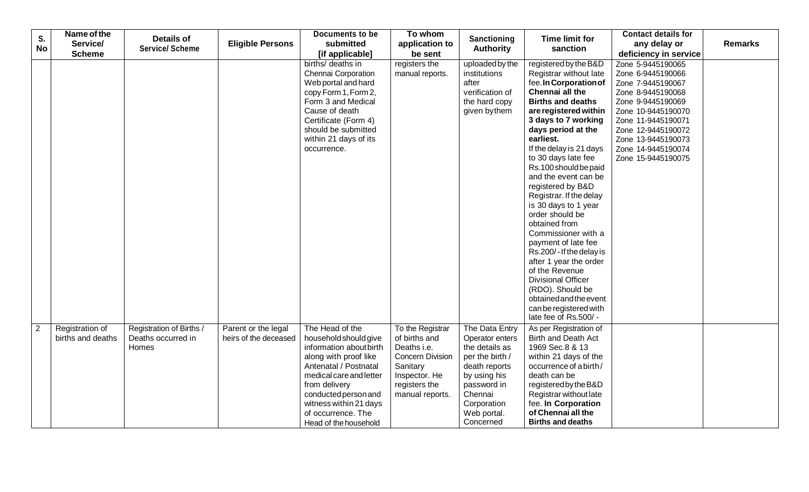|                | Name of the       |                          |                         | Documents to be         | To whom                 |                  |                                                | <b>Contact details for</b> |                |
|----------------|-------------------|--------------------------|-------------------------|-------------------------|-------------------------|------------------|------------------------------------------------|----------------------------|----------------|
| S.             | Service/          | <b>Details of</b>        | <b>Eligible Persons</b> | submitted               | application to          | Sanctioning      | <b>Time limit for</b>                          | any delay or               | <b>Remarks</b> |
| <b>No</b>      | <b>Scheme</b>     | <b>Service/ Scheme</b>   |                         | [if applicable]         | be sent                 | <b>Authority</b> | sanction                                       | deficiency in service      |                |
|                |                   |                          |                         | births/ deaths in       | registers the           | uploaded by the  | registered by the B&D                          | Zone 5-9445190065          |                |
|                |                   |                          |                         | Chennai Corporation     | manual reports.         | institutions     | Registrar without late                         | Zone 6-9445190066          |                |
|                |                   |                          |                         | Web portal and hard     |                         | after            | fee. In Corporation of                         | Zone 7-9445190067          |                |
|                |                   |                          |                         | copy Form 1, Form 2,    |                         | verification of  | Chennai all the                                | Zone 8-9445190068          |                |
|                |                   |                          |                         | Form 3 and Medical      |                         | the hard copy    | <b>Births and deaths</b>                       | Zone 9-9445190069          |                |
|                |                   |                          |                         | Cause of death          |                         | given by them    | are registered within                          | Zone 10-9445190070         |                |
|                |                   |                          |                         | Certificate (Form 4)    |                         |                  | 3 days to 7 working                            | Zone 11-9445190071         |                |
|                |                   |                          |                         | should be submitted     |                         |                  | days period at the                             | Zone 12-9445190072         |                |
|                |                   |                          |                         | within 21 days of its   |                         |                  | earliest.                                      | Zone 13-9445190073         |                |
|                |                   |                          |                         | occurrence.             |                         |                  | If the delay is 21 days                        | Zone 14-9445190074         |                |
|                |                   |                          |                         |                         |                         |                  | to 30 days late fee                            | Zone 15-9445190075         |                |
|                |                   |                          |                         |                         |                         |                  | Rs.100 should be paid                          |                            |                |
|                |                   |                          |                         |                         |                         |                  | and the event can be                           |                            |                |
|                |                   |                          |                         |                         |                         |                  | registered by B&D                              |                            |                |
|                |                   |                          |                         |                         |                         |                  | Registrar. If the delay                        |                            |                |
|                |                   |                          |                         |                         |                         |                  | is 30 days to 1 year                           |                            |                |
|                |                   |                          |                         |                         |                         |                  | order should be                                |                            |                |
|                |                   |                          |                         |                         |                         |                  | obtained from                                  |                            |                |
|                |                   |                          |                         |                         |                         |                  | Commissioner with a                            |                            |                |
|                |                   |                          |                         |                         |                         |                  | payment of late fee<br>Rs.200/-If the delay is |                            |                |
|                |                   |                          |                         |                         |                         |                  | after 1 year the order                         |                            |                |
|                |                   |                          |                         |                         |                         |                  | of the Revenue                                 |                            |                |
|                |                   |                          |                         |                         |                         |                  | <b>Divisional Officer</b>                      |                            |                |
|                |                   |                          |                         |                         |                         |                  | (RDO). Should be                               |                            |                |
|                |                   |                          |                         |                         |                         |                  | obtained and the event                         |                            |                |
|                |                   |                          |                         |                         |                         |                  | can be registered with                         |                            |                |
|                |                   |                          |                         |                         |                         |                  | late fee of Rs.500/ -                          |                            |                |
| $\overline{2}$ | Registration of   | Registration of Births / | Parent or the legal     | The Head of the         | To the Registrar        | The Data Entry   | As per Registration of                         |                            |                |
|                | births and deaths | Deaths occurred in       | heirs of the deceased   | household should give   | of births and           | Operator enters  | <b>Birth and Death Act</b>                     |                            |                |
|                |                   | Homes                    |                         | information about birth | Deaths i.e.             | the details as   | 1969 Sec.8 & 13                                |                            |                |
|                |                   |                          |                         | along with proof like   | <b>Concern Division</b> | per the birth /  | within 21 days of the                          |                            |                |
|                |                   |                          |                         | Antenatal / Postnatal   | Sanitary                | death reports    | occurrence of a birth/                         |                            |                |
|                |                   |                          |                         | medical care and letter | Inspector. He           | by using his     | death can be                                   |                            |                |
|                |                   |                          |                         | from delivery           | registers the           | password in      | registered by the B&D                          |                            |                |
|                |                   |                          |                         | conducted person and    | manual reports.         | Chennai          | Registrar without late                         |                            |                |
|                |                   |                          |                         | witness within 21 days  |                         | Corporation      | fee. In Corporation                            |                            |                |
|                |                   |                          |                         | of occurrence. The      |                         | Web portal.      | of Chennai all the                             |                            |                |
|                |                   |                          |                         | Head of the household   |                         | Concerned        | <b>Births and deaths</b>                       |                            |                |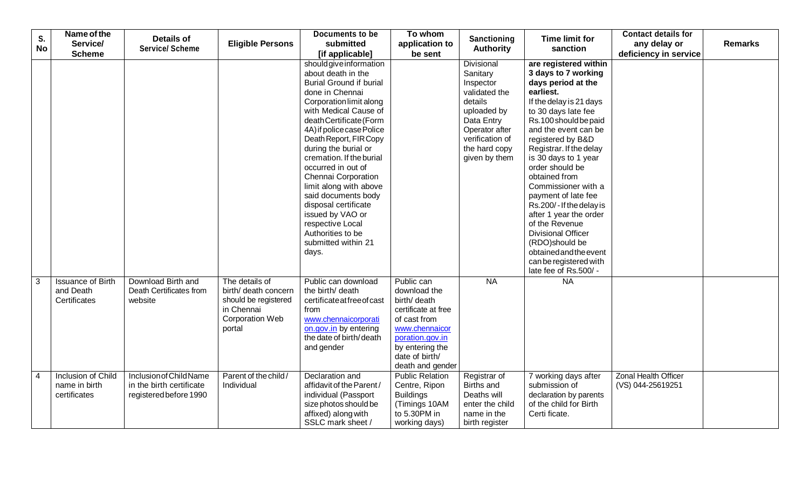| S.             | Name of the                                           | <b>Details of</b>                                                             |                                                                                                                  | <b>Documents to be</b>                                                                                                                                                                                                                                                                                                                                                                                                                                                                                        | To whom                                                                                                                                                                         | Sanctioning                                                                                                                                                         | <b>Time limit for</b>                                                                                                                                                                                                                                                                                                                                                                                                                                                                        | <b>Contact details for</b>                       |                |
|----------------|-------------------------------------------------------|-------------------------------------------------------------------------------|------------------------------------------------------------------------------------------------------------------|---------------------------------------------------------------------------------------------------------------------------------------------------------------------------------------------------------------------------------------------------------------------------------------------------------------------------------------------------------------------------------------------------------------------------------------------------------------------------------------------------------------|---------------------------------------------------------------------------------------------------------------------------------------------------------------------------------|---------------------------------------------------------------------------------------------------------------------------------------------------------------------|----------------------------------------------------------------------------------------------------------------------------------------------------------------------------------------------------------------------------------------------------------------------------------------------------------------------------------------------------------------------------------------------------------------------------------------------------------------------------------------------|--------------------------------------------------|----------------|
| <b>No</b>      | Service/                                              | <b>Service/ Scheme</b>                                                        | <b>Eligible Persons</b>                                                                                          | submitted                                                                                                                                                                                                                                                                                                                                                                                                                                                                                                     | application to                                                                                                                                                                  | <b>Authority</b>                                                                                                                                                    | sanction                                                                                                                                                                                                                                                                                                                                                                                                                                                                                     | any delay or                                     | <b>Remarks</b> |
|                | <b>Scheme</b>                                         |                                                                               |                                                                                                                  | [if applicable]                                                                                                                                                                                                                                                                                                                                                                                                                                                                                               | be sent                                                                                                                                                                         |                                                                                                                                                                     |                                                                                                                                                                                                                                                                                                                                                                                                                                                                                              | deficiency in service                            |                |
|                |                                                       |                                                                               |                                                                                                                  | should give information<br>about death in the<br><b>Burial Ground if burial</b><br>done in Chennai<br>Corporation limit along<br>with Medical Cause of<br>deathCertificate(Form<br>4A) if police case Police<br>Death Report, FIR Copy<br>during the burial or<br>cremation. If the burial<br>occurred in out of<br>Chennai Corporation<br>limit along with above<br>said documents body<br>disposal certificate<br>issued by VAO or<br>respective Local<br>Authorities to be<br>submitted within 21<br>days. |                                                                                                                                                                                 | Divisional<br>Sanitary<br>Inspector<br>validated the<br>details<br>uploaded by<br>Data Entry<br>Operator after<br>verification of<br>the hard copy<br>given by them | are registered within<br>3 days to 7 working<br>days period at the<br>earliest.<br>If the delay is 21 days<br>to 30 days late fee<br>Rs.100 should be paid<br>and the event can be<br>registered by B&D<br>Registrar. If the delay<br>is 30 days to 1 year<br>order should be<br>obtained from<br>Commissioner with a<br>payment of late fee<br>Rs.200/-If the delay is<br>after 1 year the order<br>of the Revenue<br><b>Divisional Officer</b><br>(RDO)should be<br>obtained and the event |                                                  |                |
|                |                                                       |                                                                               |                                                                                                                  |                                                                                                                                                                                                                                                                                                                                                                                                                                                                                                               |                                                                                                                                                                                 |                                                                                                                                                                     | can be registered with<br>late fee of Rs.500/ -                                                                                                                                                                                                                                                                                                                                                                                                                                              |                                                  |                |
| $\mathbf{3}$   | <b>Issuance of Birth</b><br>and Death<br>Certificates | Download Birth and<br>Death Certificates from<br>website                      | The details of<br>birth/ death concern<br>should be registered<br>in Chennai<br><b>Corporation Web</b><br>portal | Public can download<br>the birth/ death<br>certificateatfreeofcast<br>from<br>www.chennaicorporati<br>on.gov.in by entering<br>the date of birth/death<br>and gender                                                                                                                                                                                                                                                                                                                                          | Public can<br>download the<br>birth/ death<br>certificate at free<br>of cast from<br>www.chennaicor<br>poration.gov.in<br>by entering the<br>date of birth/<br>death and gender | <b>NA</b>                                                                                                                                                           | <b>NA</b>                                                                                                                                                                                                                                                                                                                                                                                                                                                                                    |                                                  |                |
| $\overline{4}$ | Inclusion of Child<br>name in birth<br>certificates   | Inclusion of Child Name<br>in the birth certificate<br>registered before 1990 | Parent of the child/<br>Individual                                                                               | Declaration and<br>affidavit of the Parent/<br>individual (Passport<br>size photos should be<br>affixed) along with<br>SSLC mark sheet /                                                                                                                                                                                                                                                                                                                                                                      | <b>Public Relation</b><br>Centre, Ripon<br><b>Buildings</b><br>(Timings 10AM<br>to 5.30PM in<br>working days)                                                                   | Registrar of<br>Births and<br>Deaths will<br>enter the child<br>name in the<br>birth register                                                                       | 7 working days after<br>submission of<br>declaration by parents<br>of the child for Birth<br>Certi ficate.                                                                                                                                                                                                                                                                                                                                                                                   | <b>Zonal Health Officer</b><br>(VS) 044-25619251 |                |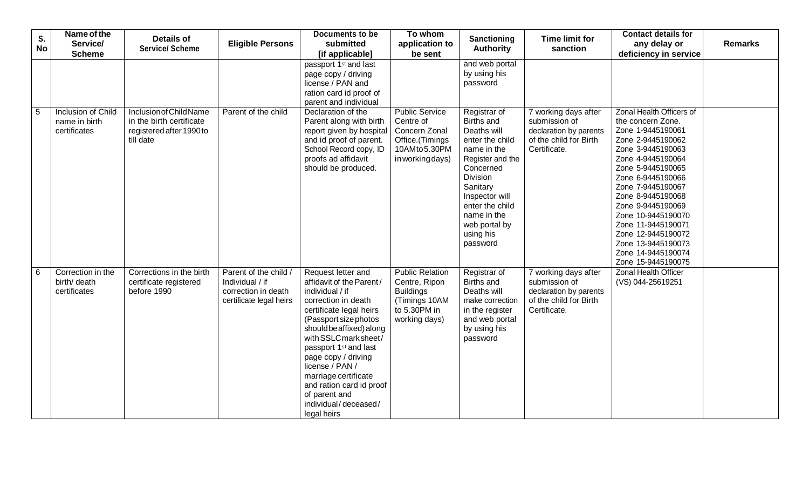| S.<br><b>No</b> | Name of the<br>Service/<br><b>Scheme</b>            | <b>Details of</b><br><b>Service/Scheme</b>                                                   | <b>Eligible Persons</b>                                                                    | Documents to be<br>submitted<br>[if applicable]                                                                                                                                                                                                                                                                                                                                              | To whom<br>application to<br>be sent                                                                          | Sanctioning<br><b>Authority</b>                                                                                                                                                                                                    | <b>Time limit for</b><br>sanction                                                                         | <b>Contact details for</b><br>any delay or<br>deficiency in service                                                                                                                                                                                                                                                                                                            | <b>Remarks</b> |
|-----------------|-----------------------------------------------------|----------------------------------------------------------------------------------------------|--------------------------------------------------------------------------------------------|----------------------------------------------------------------------------------------------------------------------------------------------------------------------------------------------------------------------------------------------------------------------------------------------------------------------------------------------------------------------------------------------|---------------------------------------------------------------------------------------------------------------|------------------------------------------------------------------------------------------------------------------------------------------------------------------------------------------------------------------------------------|-----------------------------------------------------------------------------------------------------------|--------------------------------------------------------------------------------------------------------------------------------------------------------------------------------------------------------------------------------------------------------------------------------------------------------------------------------------------------------------------------------|----------------|
|                 |                                                     |                                                                                              |                                                                                            | passport 1 <sup>st</sup> and last<br>page copy / driving<br>license / PAN and<br>ration card id proof of<br>parent and individual                                                                                                                                                                                                                                                            |                                                                                                               | and web portal<br>by using his<br>password                                                                                                                                                                                         |                                                                                                           |                                                                                                                                                                                                                                                                                                                                                                                |                |
| 5               | Inclusion of Child<br>name in birth<br>certificates | Inclusion of Child Name<br>in the birth certificate<br>registered after 1990 to<br>till date | Parent of the child                                                                        | Declaration of the<br>Parent along with birth<br>report given by hospital<br>and id proof of parent.<br>School Record copy, ID<br>proofs ad affidavit<br>should be produced.                                                                                                                                                                                                                 | <b>Public Service</b><br>Centre of<br>Concern Zonal<br>Office.(Timings<br>10AMto5.30PM<br>in working days)    | Registrar of<br>Births and<br>Deaths will<br>enter the child<br>name in the<br>Register and the<br>Concerned<br>Division<br>Sanitary<br>Inspector will<br>enter the child<br>name in the<br>web portal by<br>using his<br>password | 7 working days after<br>submission of<br>declaration by parents<br>of the child for Birth<br>Certificate. | Zonal Health Officers of<br>the concern Zone.<br>Zone 1-9445190061<br>Zone 2-9445190062<br>Zone 3-9445190063<br>Zone 4-9445190064<br>Zone 5-9445190065<br>Zone 6-9445190066<br>Zone 7-9445190067<br>Zone 8-9445190068<br>Zone 9-9445190069<br>Zone 10-9445190070<br>Zone 11-9445190071<br>Zone 12-9445190072<br>Zone 13-9445190073<br>Zone 14-9445190074<br>Zone 15-9445190075 |                |
| 6               | Correction in the<br>birth/ death<br>certificates   | Corrections in the birth<br>certificate registered<br>before 1990                            | Parent of the child /<br>Individual / if<br>correction in death<br>certificate legal heirs | Request letter and<br>affidavit of the Parent/<br>individual / if<br>correction in death<br>certificate legal heirs<br>(Passport size photos<br>should be affixed) along<br>with SSLC mark sheet/<br>passport 1 <sup>st</sup> and last<br>page copy / driving<br>license / PAN /<br>marriage certificate<br>and ration card id proof<br>of parent and<br>individual/deceased/<br>legal heirs | <b>Public Relation</b><br>Centre, Ripon<br><b>Buildings</b><br>(Timings 10AM<br>to 5.30PM in<br>working days) | Registrar of<br>Births and<br>Deaths will<br>make correction<br>in the register<br>and web portal<br>by using his<br>password                                                                                                      | 7 working days after<br>submission of<br>declaration by parents<br>of the child for Birth<br>Certificate. | <b>Zonal Health Officer</b><br>(VS) 044-25619251                                                                                                                                                                                                                                                                                                                               |                |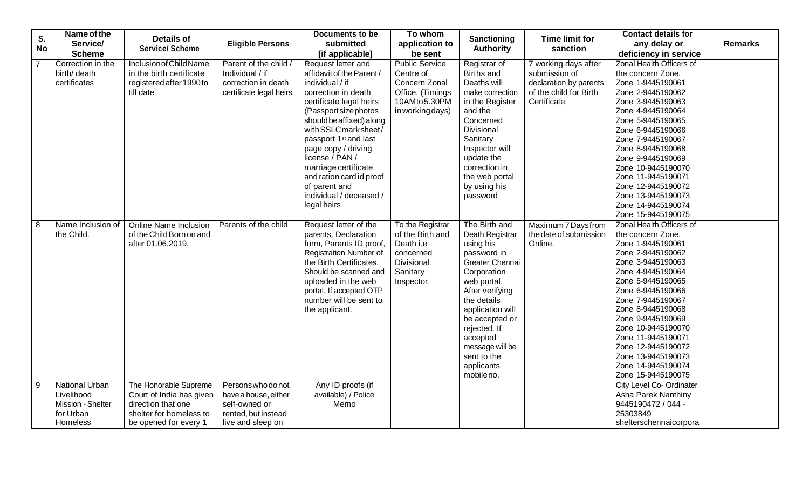| S.        | Name of the           | <b>Details of</b>            |                         | Documents to be                   | To whom               | Sanctioning              | <b>Time limit for</b>  | <b>Contact details for</b> |                |
|-----------|-----------------------|------------------------------|-------------------------|-----------------------------------|-----------------------|--------------------------|------------------------|----------------------------|----------------|
| <b>No</b> | Service/              | <b>Service/Scheme</b>        | <b>Eligible Persons</b> | submitted                         | application to        |                          | sanction               | any delay or               | <b>Remarks</b> |
|           | <b>Scheme</b>         |                              |                         | [if applicable]                   | be sent               | <b>Authority</b>         |                        | deficiency in service      |                |
|           | Correction in the     | Inclusion of Child Name      | Parent of the child /   | Request letter and                | <b>Public Service</b> | Registrar of             | 7 working days after   | Zonal Health Officers of   |                |
|           | birth/ death          | in the birth certificate     | Individual / if         | affidavit of the Parent/          | Centre of             | Births and               | submission of          | the concern Zone.          |                |
|           | certificates          | registered after 1990 to     | correction in death     | individual / if                   | Concern Zonal         | Deaths will              | declaration by parents | Zone 1-9445190061          |                |
|           |                       | till date                    | certificate legal heirs | correction in death               | Office. (Timings      | make correction          | of the child for Birth | Zone 2-9445190062          |                |
|           |                       |                              |                         | certificate legal heirs           | 10AMto5.30PM          | in the Register          | Certificate.           | Zone 3-9445190063          |                |
|           |                       |                              |                         | (Passport size photos             | in working days)      | and the                  |                        | Zone 4-9445190064          |                |
|           |                       |                              |                         | should be affixed) along          |                       | Concerned                |                        | Zone 5-9445190065          |                |
|           |                       |                              |                         | with SSLC mark sheet/             |                       | Divisional               |                        | Zone 6-9445190066          |                |
|           |                       |                              |                         | passport 1 <sup>st</sup> and last |                       | Sanitary                 |                        | Zone 7-9445190067          |                |
|           |                       |                              |                         | page copy / driving               |                       | Inspector will           |                        | Zone 8-9445190068          |                |
|           |                       |                              |                         | license / PAN /                   |                       | update the               |                        | Zone 9-9445190069          |                |
|           |                       |                              |                         | marriage certificate              |                       | correction in            |                        | Zone 10-9445190070         |                |
|           |                       |                              |                         | and ration card id proof          |                       | the web portal           |                        | Zone 11-9445190071         |                |
|           |                       |                              |                         | of parent and                     |                       | by using his             |                        | Zone 12-9445190072         |                |
|           |                       |                              |                         | individual / deceased /           |                       | password                 |                        | Zone 13-9445190073         |                |
|           |                       |                              |                         | legal heirs                       |                       |                          |                        | Zone 14-9445190074         |                |
|           |                       |                              |                         |                                   |                       |                          |                        | Zone 15-9445190075         |                |
| 8         | Name Inclusion of     | <b>Online Name Inclusion</b> | Parents of the child    | Request letter of the             | To the Registrar      | The Birth and            | Maximum 7 Daysfrom     | Zonal Health Officers of   |                |
|           | the Child.            | of the Child Born on and     |                         | parents, Declaration              | of the Birth and      | Death Registrar          | the date of submission | the concern Zone.          |                |
|           |                       | after 01.06.2019.            |                         | form, Parents ID proof,           | Death i.e             | using his                | Online.                | Zone 1-9445190061          |                |
|           |                       |                              |                         | Registration Number of            | concerned             | password in              |                        | Zone 2-9445190062          |                |
|           |                       |                              |                         | the Birth Certificates.           | Divisional            | Greater Chennai          |                        | Zone 3-9445190063          |                |
|           |                       |                              |                         | Should be scanned and             | Sanitary              | Corporation              |                        | Zone 4-9445190064          |                |
|           |                       |                              |                         | uploaded in the web               | Inspector.            | web portal.              |                        | Zone 5-9445190065          |                |
|           |                       |                              |                         | portal. If accepted OTP           |                       | After verifying          |                        | Zone 6-9445190066          |                |
|           |                       |                              |                         | number will be sent to            |                       | the details              |                        | Zone 7-9445190067          |                |
|           |                       |                              |                         | the applicant.                    |                       | application will         |                        | Zone 8-9445190068          |                |
|           |                       |                              |                         |                                   |                       | be accepted or           |                        | Zone 9-9445190069          |                |
|           |                       |                              |                         |                                   |                       | rejected. If             |                        | Zone 10-9445190070         |                |
|           |                       |                              |                         |                                   |                       | accepted                 |                        | Zone 11-9445190071         |                |
|           |                       |                              |                         |                                   |                       | message will be          |                        | Zone 12-9445190072         |                |
|           |                       |                              |                         |                                   |                       | sent to the              |                        | Zone 13-9445190073         |                |
|           |                       |                              |                         |                                   |                       | applicants<br>mobile no. |                        | Zone 14-9445190074         |                |
|           |                       |                              |                         |                                   |                       |                          |                        | Zone 15-9445190075         |                |
| 9         | <b>National Urban</b> | The Honorable Supreme        | Persons who do not      | Any ID proofs (if                 |                       |                          |                        | City Level Co- Ordinater   |                |
|           | Livelihood            | Court of India has given     | have a house, either    | available) / Police               |                       |                          |                        | Asha Parek Nanthiny        |                |
|           | Mission - Shelter     | direction that one           | self-owned or           | Memo                              |                       |                          |                        | 9445190472 / 044 -         |                |
|           | for Urban             | shelter for homeless to      | rented, but instead     |                                   |                       |                          |                        | 25303849                   |                |
|           | Homeless              | be opened for every 1        | live and sleep on       |                                   |                       |                          |                        | shelterschennaicorpora     |                |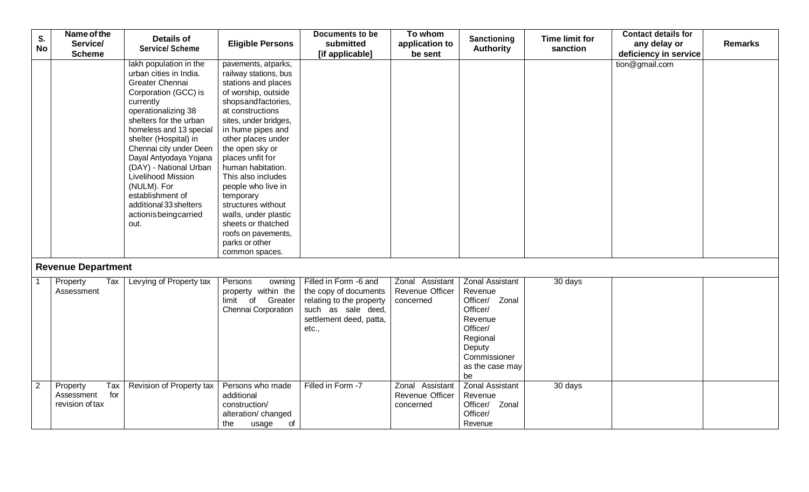| S.             | Name of the                                             | <b>Details of</b>                                                                                                                                                                                                                                                                                                                                                                                                      |                                                                                                                                                                                                                                                                                                                                                                                                                                                              | Documents to be                                                                                                                      | To whom                                         | Sanctioning                                                                                                                                           | <b>Time limit for</b> | <b>Contact details for</b>            |                |
|----------------|---------------------------------------------------------|------------------------------------------------------------------------------------------------------------------------------------------------------------------------------------------------------------------------------------------------------------------------------------------------------------------------------------------------------------------------------------------------------------------------|--------------------------------------------------------------------------------------------------------------------------------------------------------------------------------------------------------------------------------------------------------------------------------------------------------------------------------------------------------------------------------------------------------------------------------------------------------------|--------------------------------------------------------------------------------------------------------------------------------------|-------------------------------------------------|-------------------------------------------------------------------------------------------------------------------------------------------------------|-----------------------|---------------------------------------|----------------|
| <b>No</b>      | Service/<br><b>Scheme</b>                               | <b>Service/ Scheme</b>                                                                                                                                                                                                                                                                                                                                                                                                 | <b>Eligible Persons</b>                                                                                                                                                                                                                                                                                                                                                                                                                                      | submitted<br>[if applicable]                                                                                                         | application to<br>be sent                       | <b>Authority</b>                                                                                                                                      | sanction              | any delay or<br>deficiency in service | <b>Remarks</b> |
|                |                                                         | lakh population in the<br>urban cities in India.<br><b>Greater Chennai</b><br>Corporation (GCC) is<br>currently<br>operationalizing 38<br>shelters for the urban<br>homeless and 13 special<br>shelter (Hospital) in<br>Chennai city under Deen<br>Dayal Antyodaya Yojana<br>(DAY) - National Urban<br>Livelihood Mission<br>(NULM). For<br>establishment of<br>additional 33 shelters<br>actionisbeingcarried<br>out. | pavements, atparks,<br>railway stations, bus<br>stations and places<br>of worship, outside<br>shopsandfactories,<br>at constructions<br>sites, under bridges,<br>in hume pipes and<br>other places under<br>the open sky or<br>places unfit for<br>human habitation.<br>This also includes<br>people who live in<br>temporary<br>structures without<br>walls, under plastic<br>sheets or thatched<br>roofs on pavements,<br>parks or other<br>common spaces. |                                                                                                                                      |                                                 |                                                                                                                                                       |                       | tion@gmail.com                        |                |
|                | <b>Revenue Department</b>                               |                                                                                                                                                                                                                                                                                                                                                                                                                        |                                                                                                                                                                                                                                                                                                                                                                                                                                                              |                                                                                                                                      |                                                 |                                                                                                                                                       |                       |                                       |                |
|                | Property<br>Tax<br>Assessment                           | Levying of Property tax                                                                                                                                                                                                                                                                                                                                                                                                | Persons<br>owning<br>property within the<br>limit of Greater<br>Chennai Corporation                                                                                                                                                                                                                                                                                                                                                                          | Filled in Form -6 and<br>the copy of documents<br>relating to the property<br>such as sale deed,<br>settlement deed, patta,<br>etc., | Zonal Assistant<br>Revenue Officer<br>concerned | <b>Zonal Assistant</b><br>Revenue<br>Officer/ Zonal<br>Officer/<br>Revenue<br>Officer/<br>Regional<br>Deputy<br>Commissioner<br>as the case may<br>be | 30 days               |                                       |                |
| $\overline{2}$ | Tax<br>Property<br>Assessment<br>for<br>revision of tax | Revision of Property tax                                                                                                                                                                                                                                                                                                                                                                                               | Persons who made<br>additional<br>construction/<br>alteration/ changed<br>the<br>usage<br>of                                                                                                                                                                                                                                                                                                                                                                 | Filled in Form -7                                                                                                                    | Zonal Assistant<br>Revenue Officer<br>concerned | <b>Zonal Assistant</b><br>Revenue<br>Officer/ Zonal<br>Officer/<br>Revenue                                                                            | 30 days               |                                       |                |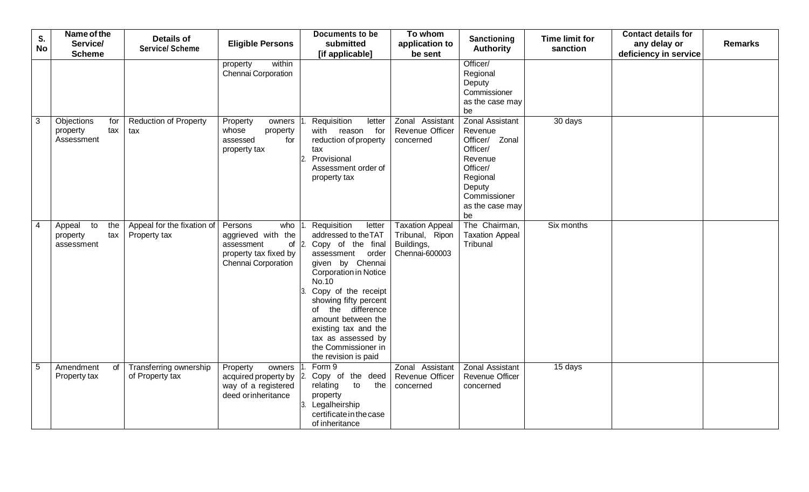| S.<br><b>No</b> | Name of the<br>Service/                              | <b>Details of</b><br><b>Service/ Scheme</b>        | <b>Eligible Persons</b>                                                                       | Documents to be<br>submitted                                                                                                                                                                                                                                                                                                            | To whom<br>application to                                                 | Sanctioning<br><b>Authority</b>                                                                                                                       | <b>Time limit for</b><br>sanction | <b>Contact details for</b><br>any delay or | <b>Remarks</b> |
|-----------------|------------------------------------------------------|----------------------------------------------------|-----------------------------------------------------------------------------------------------|-----------------------------------------------------------------------------------------------------------------------------------------------------------------------------------------------------------------------------------------------------------------------------------------------------------------------------------------|---------------------------------------------------------------------------|-------------------------------------------------------------------------------------------------------------------------------------------------------|-----------------------------------|--------------------------------------------|----------------|
|                 | <b>Scheme</b>                                        |                                                    |                                                                                               | [if applicable]                                                                                                                                                                                                                                                                                                                         | be sent                                                                   |                                                                                                                                                       |                                   | deficiency in service                      |                |
|                 |                                                      |                                                    | within<br>property<br>Chennai Corporation                                                     |                                                                                                                                                                                                                                                                                                                                         |                                                                           | Officer/<br>Regional<br>Deputy<br>Commissioner<br>as the case may<br>be                                                                               |                                   |                                            |                |
| 3               | Objections<br>for<br>tax<br>property<br>Assessment   | <b>Reduction of Property</b><br>tax                | Property<br>owners<br>whose<br>property<br>for<br>assessed<br>property tax                    | Requisition<br>letter<br>with reason for<br>reduction of property<br>tax<br>Provisional<br>Assessment order of<br>property tax                                                                                                                                                                                                          | Zonal Assistant<br><b>Revenue Officer</b><br>concerned                    | <b>Zonal Assistant</b><br>Revenue<br>Officer/ Zonal<br>Officer/<br>Revenue<br>Officer/<br>Regional<br>Deputy<br>Commissioner<br>as the case may<br>be | 30 days                           |                                            |                |
| $\overline{4}$  | to<br>the<br>Appeal<br>tax<br>property<br>assessment | Appeal for the fixation of Persons<br>Property tax | who<br>aggrieved with the<br>of<br>assessment<br>property tax fixed by<br>Chennai Corporation | Requisition<br>letter<br>addressed to the TAT<br>Copy of the final<br>assessment order<br>given by Chennai<br>Corporation in Notice<br>No.10<br>Copy of the receipt<br>showing fifty percent<br>the difference<br>of<br>amount between the<br>existing tax and the<br>tax as assessed by<br>the Commissioner in<br>the revision is paid | <b>Taxation Appeal</b><br>Tribunal, Ripon<br>Buildings,<br>Chennai-600003 | The Chairman,<br><b>Taxation Appeal</b><br>Tribunal                                                                                                   | Six months                        |                                            |                |
| 5               | Amendment<br>of<br>Property tax                      | Transferring ownership<br>of Property tax          | Property<br>owners<br>acquired property by<br>way of a registered<br>deed orinheritance       | Form 9<br>Copy of the deed<br>to<br>the<br>relating<br>property<br>Legalheirship<br>certificate in the case<br>of inheritance                                                                                                                                                                                                           | Zonal Assistant<br>Revenue Officer<br>concerned                           | <b>Zonal Assistant</b><br>Revenue Officer<br>concerned                                                                                                | 15 days                           |                                            |                |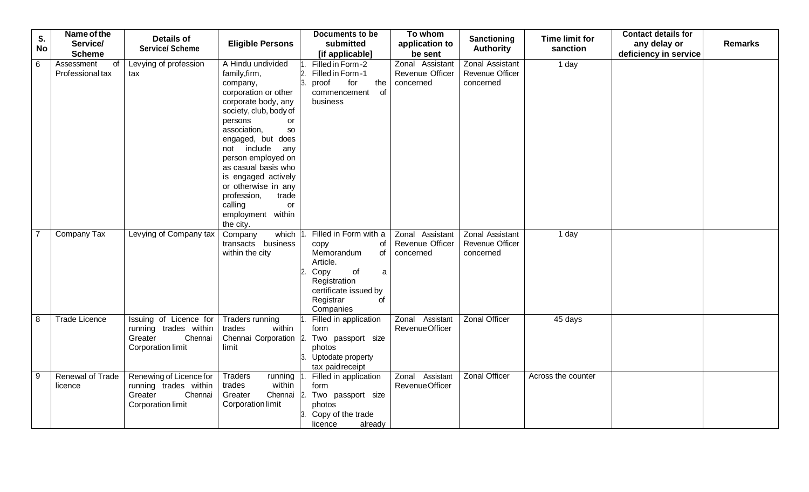| S.        | Name of the<br>Service/              | <b>Details of</b>                                                                           | <b>Eligible Persons</b>                                                                                                                                                                                                                                                                                                                                                             | <b>Documents to be</b><br>submitted                                                                                                                             | To whom<br>application to                              | Sanctioning                                            | <b>Time limit for</b> | <b>Contact details for</b><br>any delay or | <b>Remarks</b> |
|-----------|--------------------------------------|---------------------------------------------------------------------------------------------|-------------------------------------------------------------------------------------------------------------------------------------------------------------------------------------------------------------------------------------------------------------------------------------------------------------------------------------------------------------------------------------|-----------------------------------------------------------------------------------------------------------------------------------------------------------------|--------------------------------------------------------|--------------------------------------------------------|-----------------------|--------------------------------------------|----------------|
| <b>No</b> | <b>Scheme</b>                        | <b>Service/ Scheme</b>                                                                      |                                                                                                                                                                                                                                                                                                                                                                                     | [if applicable]                                                                                                                                                 | be sent                                                | <b>Authority</b>                                       | sanction              | deficiency in service                      |                |
| 6         | Assessment<br>of<br>Professional tax | Levying of profession<br>tax                                                                | A Hindu undivided<br>family, firm,<br>company,<br>corporation or other<br>corporate body, any<br>society, club, body of<br>persons<br><b>or</b><br>association,<br>SO<br>engaged, but does<br>not include any<br>person employed on<br>as casual basis who<br>is engaged actively<br>or otherwise in any<br>profession,<br>trade<br>calling<br>or<br>employment within<br>the city. | Filled in Form-2<br>2. Filled in Form-1<br>proof<br>for<br>the<br>of<br>commencement<br>business                                                                | Zonal Assistant<br>Revenue Officer<br>concerned        | <b>Zonal Assistant</b><br>Revenue Officer<br>concerned | 1 day                 |                                            |                |
|           | Company Tax                          | Levying of Company tax                                                                      | which<br>Company<br>transacts business<br>within the city                                                                                                                                                                                                                                                                                                                           | Filled in Form with a<br>of<br>copy<br>Memorandum<br>of<br>Article.<br>of<br>Copy<br>a<br>Registration<br>certificate issued by<br>Registrar<br>οf<br>Companies | Zonal Assistant<br><b>Revenue Officer</b><br>concerned | <b>Zonal Assistant</b><br>Revenue Officer<br>concerned | 1 day                 |                                            |                |
| 8         | <b>Trade Licence</b>                 | Issuing of Licence for<br>running trades within<br>Chennai<br>Greater<br>Corporation limit  | Traders running<br>within<br>trades<br>Chennai Corporation 2.<br>limit                                                                                                                                                                                                                                                                                                              | Filled in application<br>form<br>Two passport size<br>photos<br>3. Uptodate property<br>tax paidreceipt                                                         | Zonal Assistant<br>Revenue Officer                     | <b>Zonal Officer</b>                                   | 45 days               |                                            |                |
| 9         | <b>Renewal of Trade</b><br>licence   | Renewing of Licence for<br>running trades within<br>Chennai<br>Greater<br>Corporation limit | <b>Traders</b><br>running<br>trades<br>within<br>Greater<br>Chennai<br>Corporation limit                                                                                                                                                                                                                                                                                            | Filled in application<br>form<br>Two passport size<br>photos<br>3. Copy of the trade<br>licence<br>already                                                      | Zonal Assistant<br>Revenue Officer                     | <b>Zonal Officer</b>                                   | Across the counter    |                                            |                |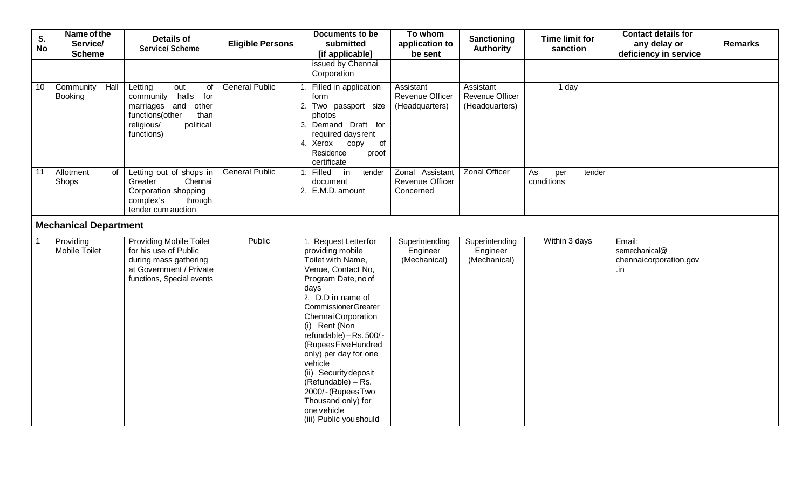| S.<br><b>No</b> | Name of the<br>Service/<br><b>Scheme</b> | <b>Details of</b><br><b>Service/ Scheme</b>                                                                                                  | <b>Eligible Persons</b> | <b>Documents to be</b><br>submitted<br>[if applicable]                                                                                                                                                                                                                                                                                                                                                                                  | To whom<br>application to<br>be sent                  | Sanctioning<br><b>Authority</b>                       | <b>Time limit for</b><br>sanction | <b>Contact details for</b><br>any delay or<br>deficiency in service | <b>Remarks</b> |
|-----------------|------------------------------------------|----------------------------------------------------------------------------------------------------------------------------------------------|-------------------------|-----------------------------------------------------------------------------------------------------------------------------------------------------------------------------------------------------------------------------------------------------------------------------------------------------------------------------------------------------------------------------------------------------------------------------------------|-------------------------------------------------------|-------------------------------------------------------|-----------------------------------|---------------------------------------------------------------------|----------------|
|                 |                                          |                                                                                                                                              |                         | issued by Chennai<br>Corporation                                                                                                                                                                                                                                                                                                                                                                                                        |                                                       |                                                       |                                   |                                                                     |                |
| 10              | Hall<br>Community<br><b>Booking</b>      | Letting<br>out<br>of<br>community halls<br>for<br>other<br>marriages and<br>functions(other<br>than<br>religious/<br>political<br>functions) | <b>General Public</b>   | Filled in application<br>form<br>Two passport size<br>photos<br>Demand Draft for<br>required daysrent<br>Xerox copy<br>$\circ$ of<br>Residence<br>proof<br>certificate                                                                                                                                                                                                                                                                  | Assistant<br><b>Revenue Officer</b><br>(Headquarters) | Assistant<br><b>Revenue Officer</b><br>(Headquarters) | 1 day                             |                                                                     |                |
| $\overline{11}$ | Allotment<br>of<br>Shops                 | Letting out of shops in<br>Greater<br>Chennai<br>Corporation shopping<br>complex's<br>through<br>tender cum auction                          | <b>General Public</b>   | Filled<br>in<br>tender<br>document<br>2. E.M.D. amount                                                                                                                                                                                                                                                                                                                                                                                  | Zonal Assistant<br>Revenue Officer<br>Concerned       | <b>Zonal Officer</b>                                  | As<br>tender<br>per<br>conditions |                                                                     |                |
|                 | <b>Mechanical Department</b>             |                                                                                                                                              |                         |                                                                                                                                                                                                                                                                                                                                                                                                                                         |                                                       |                                                       |                                   |                                                                     |                |
|                 | Providing<br>Mobile Toilet               | <b>Providing Mobile Toilet</b><br>for his use of Public<br>during mass gathering<br>at Government / Private<br>functions, Special events     | Public                  | 1. Request Letterfor<br>providing mobile<br>Toilet with Name,<br>Venue, Contact No,<br>Program Date, no of<br>days<br>2. D.D in name of<br><b>CommissionerGreater</b><br>Chennai Corporation<br>(i) Rent (Non<br>refundable) - Rs. 500/-<br>(Rupees Five Hundred<br>only) per day for one<br>vehicle<br>(ii) Security deposit<br>(Refundable) – Rs.<br>2000/-(RupeesTwo<br>Thousand only) for<br>one vehicle<br>(iii) Public you should | Superintending<br>Engineer<br>(Mechanical)            | Superintending<br>Engineer<br>(Mechanical)            | Within 3 days                     | Email:<br>semechanical@<br>chennaicorporation.gov<br>.in            |                |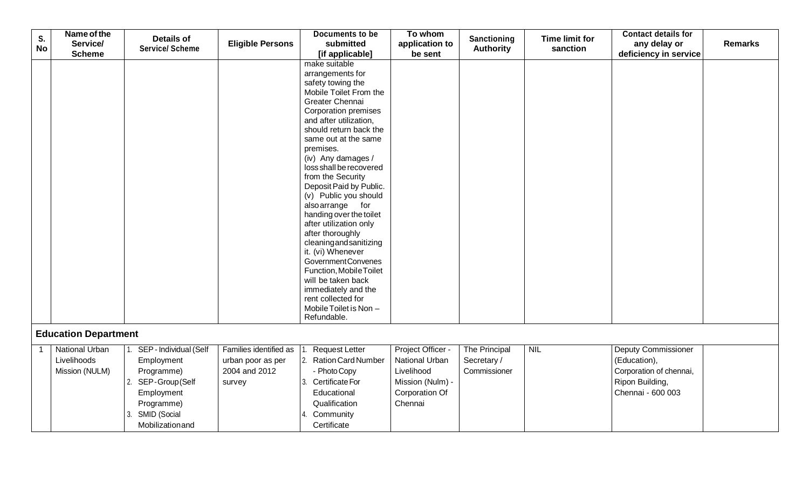| S.        | Name of the                 | <b>Details of</b>      |                         | <b>Documents to be</b>                    | To whom           | Sanctioning      | <b>Time limit for</b> | <b>Contact details for</b>     |  |
|-----------|-----------------------------|------------------------|-------------------------|-------------------------------------------|-------------------|------------------|-----------------------|--------------------------------|--|
| <b>No</b> | Service/                    | <b>Service/ Scheme</b> | <b>Eligible Persons</b> | submitted                                 | application to    | <b>Authority</b> | sanction              | <b>Remarks</b><br>any delay or |  |
|           | <b>Scheme</b>               |                        |                         | [if applicable]                           | be sent           |                  |                       | deficiency in service          |  |
|           |                             |                        |                         | make suitable                             |                   |                  |                       |                                |  |
|           |                             |                        |                         | arrangements for                          |                   |                  |                       |                                |  |
|           |                             |                        |                         | safety towing the                         |                   |                  |                       |                                |  |
|           |                             |                        |                         | Mobile Toilet From the                    |                   |                  |                       |                                |  |
|           |                             |                        |                         | Greater Chennai                           |                   |                  |                       |                                |  |
|           |                             |                        |                         | <b>Corporation premises</b>               |                   |                  |                       |                                |  |
|           |                             |                        |                         | and after utilization,                    |                   |                  |                       |                                |  |
|           |                             |                        |                         | should return back the                    |                   |                  |                       |                                |  |
|           |                             |                        |                         | same out at the same<br>premises.         |                   |                  |                       |                                |  |
|           |                             |                        |                         | (iv) Any damages /                        |                   |                  |                       |                                |  |
|           |                             |                        |                         | loss shall be recovered                   |                   |                  |                       |                                |  |
|           |                             |                        |                         | from the Security                         |                   |                  |                       |                                |  |
|           |                             |                        |                         | Deposit Paid by Public.                   |                   |                  |                       |                                |  |
|           |                             |                        |                         | (v) Public you should                     |                   |                  |                       |                                |  |
|           |                             |                        |                         | also arrange for                          |                   |                  |                       |                                |  |
|           |                             |                        |                         | handing over the toilet                   |                   |                  |                       |                                |  |
|           |                             |                        |                         | after utilization only                    |                   |                  |                       |                                |  |
|           |                             |                        |                         | after thoroughly                          |                   |                  |                       |                                |  |
|           |                             |                        |                         | cleaningandsanitizing                     |                   |                  |                       |                                |  |
|           |                             |                        |                         | it. (vi) Whenever                         |                   |                  |                       |                                |  |
|           |                             |                        |                         | Government Convenes                       |                   |                  |                       |                                |  |
|           |                             |                        |                         | Function, MobileToilet                    |                   |                  |                       |                                |  |
|           |                             |                        |                         | will be taken back                        |                   |                  |                       |                                |  |
|           |                             |                        |                         | immediately and the<br>rent collected for |                   |                  |                       |                                |  |
|           |                             |                        |                         | Mobile Toilet is Non -                    |                   |                  |                       |                                |  |
|           |                             |                        |                         | Refundable.                               |                   |                  |                       |                                |  |
|           |                             |                        |                         |                                           |                   |                  |                       |                                |  |
|           | <b>Education Department</b> |                        |                         |                                           |                   |                  |                       |                                |  |
|           | <b>National Urban</b>       | SEP - Individual (Self | Families identified as  | <b>Request Letter</b>                     | Project Officer - | The Principal    | <b>NIL</b>            | <b>Deputy Commissioner</b>     |  |
|           | Livelihoods                 | Employment             | urban poor as per       | 2. Ration Card Number                     | National Urban    | Secretary /      |                       | (Education),                   |  |
|           | Mission (NULM)              | Programme)             | 2004 and 2012           | - Photo Copy                              | Livelihood        | Commissioner     |                       | Corporation of chennai,        |  |
|           |                             | 2. SEP-Group (Self     | survey                  | 3. Certificate For                        | Mission (Nulm) -  |                  |                       | Ripon Building,                |  |
|           |                             | Employment             |                         | Educational                               | Corporation Of    |                  |                       | Chennai - 600 003              |  |
|           |                             | Programme)             |                         | Qualification                             | Chennai           |                  |                       |                                |  |
|           |                             | SMID (Social           |                         | Community<br>4.                           |                   |                  |                       |                                |  |
|           |                             | Mobilizationand        |                         | Certificate                               |                   |                  |                       |                                |  |
|           |                             |                        |                         |                                           |                   |                  |                       |                                |  |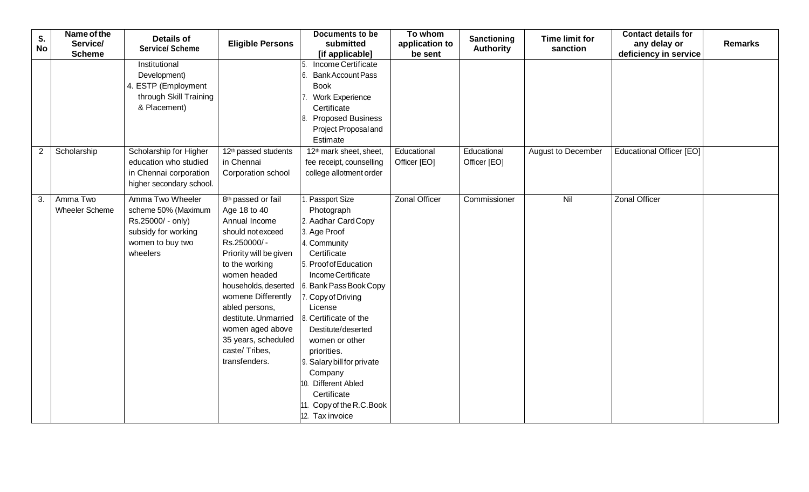| S.<br><b>No</b> | Name of the<br>Service/<br><b>Scheme</b> | <b>Details of</b><br><b>Service/ Scheme</b>                                                                         | <b>Eligible Persons</b>                                                                                                                                                                                                                                                                                                                    | Documents to be<br>submitted<br>[if applicable]                                                                                                                                                                                                                                                                                                                                                                             | To whom<br>application to<br>be sent | Sanctioning<br><b>Authority</b> | <b>Time limit for</b><br>sanction | <b>Contact details for</b><br>any delay or<br>deficiency in service | <b>Remarks</b> |
|-----------------|------------------------------------------|---------------------------------------------------------------------------------------------------------------------|--------------------------------------------------------------------------------------------------------------------------------------------------------------------------------------------------------------------------------------------------------------------------------------------------------------------------------------------|-----------------------------------------------------------------------------------------------------------------------------------------------------------------------------------------------------------------------------------------------------------------------------------------------------------------------------------------------------------------------------------------------------------------------------|--------------------------------------|---------------------------------|-----------------------------------|---------------------------------------------------------------------|----------------|
|                 |                                          | Institutional<br>Development)<br>4. ESTP (Employment<br>through Skill Training<br>& Placement)                      |                                                                                                                                                                                                                                                                                                                                            | Income Certificate<br>6. Bank Account Pass<br><b>Book</b><br>7. Work Experience<br>Certificate<br>8. Proposed Business<br>Project Proposal and<br>Estimate                                                                                                                                                                                                                                                                  |                                      |                                 |                                   |                                                                     |                |
| $\overline{c}$  | Scholarship                              | Scholarship for Higher<br>education who studied<br>in Chennai corporation<br>higher secondary school.               | 12 <sup>th</sup> passed students<br>in Chennai<br>Corporation school                                                                                                                                                                                                                                                                       | 12 <sup>th</sup> mark sheet, sheet,<br>fee receipt, counselling<br>college allotment order                                                                                                                                                                                                                                                                                                                                  | Educational<br>Officer [EO]          | Educational<br>Officer [EO]     | <b>August to December</b>         | <b>Educational Officer [EO]</b>                                     |                |
| 3.              | Amma Two<br>Wheeler Scheme               | Amma Two Wheeler<br>scheme 50% (Maximum<br>Rs.25000/ - only)<br>subsidy for working<br>women to buy two<br>wheelers | 8 <sup>th</sup> passed or fail<br>Age 18 to 40<br>Annual Income<br>should not exceed<br>Rs.250000/-<br>Priority will be given<br>to the working<br>women headed<br>womene Differently<br>abled persons,<br>destitute. Unmarried $\vert$ 8. Certificate of the<br>women aged above<br>35 years, scheduled<br>caste/Tribes,<br>transfenders. | I. Passport Size<br>Photograph<br>2. Aadhar Card Copy<br>3. Age Proof<br>4. Community<br>Certificate<br>5. Proof of Education<br>Income Certificate<br>households, deserted   6. Bank Pass Book Copy<br>7. Copy of Driving<br>License<br>Destitute/deserted<br>women or other<br>priorities.<br>9. Salary bill for private<br>Company<br>10. Different Abled<br>Certificate<br>11. Copy of the R.C. Book<br>12. Tax invoice | <b>Zonal Officer</b>                 | Commissioner                    | Nil                               | <b>Zonal Officer</b>                                                |                |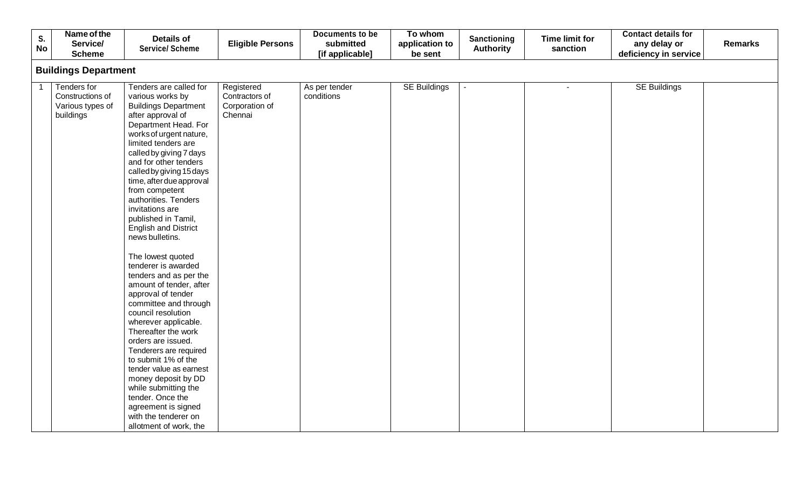| <b>SE Buildings</b> |
|---------------------|
|                     |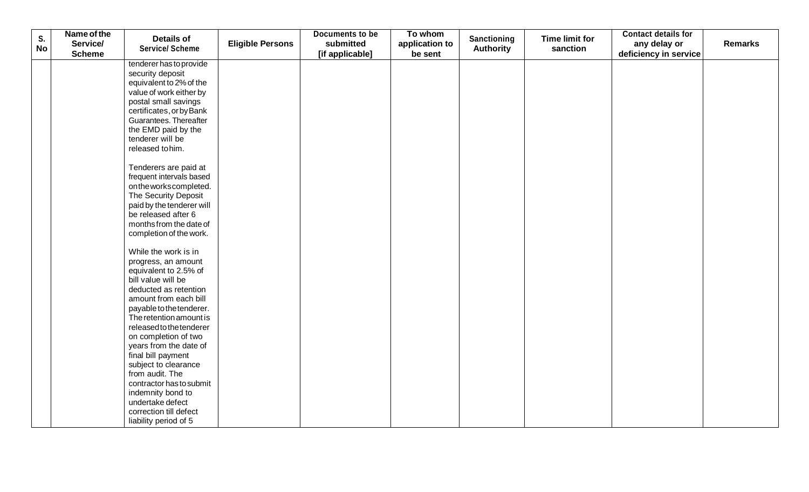| S.        | Name of the   | <b>Details of</b>                              |                         | Documents to be | To whom        | <b>Sanctioning</b> | <b>Time limit for</b> | <b>Contact details for</b> |                |
|-----------|---------------|------------------------------------------------|-------------------------|-----------------|----------------|--------------------|-----------------------|----------------------------|----------------|
| <b>No</b> | Service/      | <b>Service/ Scheme</b>                         | <b>Eligible Persons</b> | submitted       | application to | <b>Authority</b>   | sanction              | any delay or               | <b>Remarks</b> |
|           | <b>Scheme</b> |                                                |                         | [if applicable] | be sent        |                    |                       | deficiency in service      |                |
|           |               | tenderer has to provide                        |                         |                 |                |                    |                       |                            |                |
|           |               | security deposit                               |                         |                 |                |                    |                       |                            |                |
|           |               | equivalent to 2% of the                        |                         |                 |                |                    |                       |                            |                |
|           |               | value of work either by                        |                         |                 |                |                    |                       |                            |                |
|           |               | postal small savings                           |                         |                 |                |                    |                       |                            |                |
|           |               | certificates, or by Bank                       |                         |                 |                |                    |                       |                            |                |
|           |               | Guarantees. Thereafter                         |                         |                 |                |                    |                       |                            |                |
|           |               | the EMD paid by the                            |                         |                 |                |                    |                       |                            |                |
|           |               | tenderer will be                               |                         |                 |                |                    |                       |                            |                |
|           |               | released to him.                               |                         |                 |                |                    |                       |                            |                |
|           |               | Tenderers are paid at                          |                         |                 |                |                    |                       |                            |                |
|           |               | frequent intervals based                       |                         |                 |                |                    |                       |                            |                |
|           |               | on the works completed.                        |                         |                 |                |                    |                       |                            |                |
|           |               | The Security Deposit                           |                         |                 |                |                    |                       |                            |                |
|           |               | paid by the tenderer will                      |                         |                 |                |                    |                       |                            |                |
|           |               | be released after 6                            |                         |                 |                |                    |                       |                            |                |
|           |               | months from the date of                        |                         |                 |                |                    |                       |                            |                |
|           |               | completion of the work.                        |                         |                 |                |                    |                       |                            |                |
|           |               |                                                |                         |                 |                |                    |                       |                            |                |
|           |               | While the work is in                           |                         |                 |                |                    |                       |                            |                |
|           |               | progress, an amount                            |                         |                 |                |                    |                       |                            |                |
|           |               | equivalent to 2.5% of                          |                         |                 |                |                    |                       |                            |                |
|           |               | bill value will be                             |                         |                 |                |                    |                       |                            |                |
|           |               | deducted as retention                          |                         |                 |                |                    |                       |                            |                |
|           |               | amount from each bill                          |                         |                 |                |                    |                       |                            |                |
|           |               | payable to the tenderer.                       |                         |                 |                |                    |                       |                            |                |
|           |               | The retention amount is                        |                         |                 |                |                    |                       |                            |                |
|           |               | released to the tenderer                       |                         |                 |                |                    |                       |                            |                |
|           |               | on completion of two<br>years from the date of |                         |                 |                |                    |                       |                            |                |
|           |               | final bill payment                             |                         |                 |                |                    |                       |                            |                |
|           |               | subject to clearance                           |                         |                 |                |                    |                       |                            |                |
|           |               | from audit. The                                |                         |                 |                |                    |                       |                            |                |
|           |               | contractor has to submit                       |                         |                 |                |                    |                       |                            |                |
|           |               | indemnity bond to                              |                         |                 |                |                    |                       |                            |                |
|           |               | undertake defect                               |                         |                 |                |                    |                       |                            |                |
|           |               | correction till defect                         |                         |                 |                |                    |                       |                            |                |
|           |               | liability period of 5                          |                         |                 |                |                    |                       |                            |                |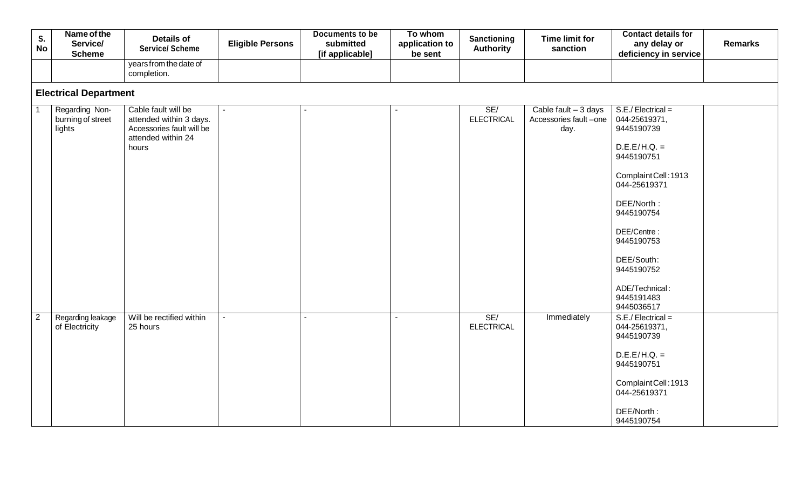|                | Name of the                  |                           |                         | Documents to be | To whom        |                   |                       | <b>Contact details for</b>     |
|----------------|------------------------------|---------------------------|-------------------------|-----------------|----------------|-------------------|-----------------------|--------------------------------|
| $S_{\cdot}$    | Service/                     | <b>Details of</b>         | <b>Eligible Persons</b> | submitted       | application to | Sanctioning       | <b>Time limit for</b> | <b>Remarks</b><br>any delay or |
| <b>No</b>      | <b>Scheme</b>                | <b>Service/ Scheme</b>    |                         | [if applicable] | be sent        | <b>Authority</b>  | sanction              | deficiency in service          |
|                |                              | years from the date of    |                         |                 |                |                   |                       |                                |
|                |                              | completion.               |                         |                 |                |                   |                       |                                |
|                |                              |                           |                         |                 |                |                   |                       |                                |
|                | <b>Electrical Department</b> |                           |                         |                 |                |                   |                       |                                |
|                | Regarding Non-               | Cable fault will be       |                         |                 |                | SE/               | Cable fault $-3$ days | $S.E./Electrical =$            |
|                | burning of street            | attended within 3 days.   |                         |                 |                | <b>ELECTRICAL</b> | Accessories fault-one | 044-25619371,                  |
|                | lights                       | Accessories fault will be |                         |                 |                |                   | day.                  | 9445190739                     |
|                |                              | attended within 24        |                         |                 |                |                   |                       |                                |
|                |                              | hours                     |                         |                 |                |                   |                       | $D.E.E/H.Q. =$                 |
|                |                              |                           |                         |                 |                |                   |                       | 9445190751                     |
|                |                              |                           |                         |                 |                |                   |                       |                                |
|                |                              |                           |                         |                 |                |                   |                       | Complaint Cell: 1913           |
|                |                              |                           |                         |                 |                |                   |                       | 044-25619371                   |
|                |                              |                           |                         |                 |                |                   |                       |                                |
|                |                              |                           |                         |                 |                |                   |                       | DEE/North:                     |
|                |                              |                           |                         |                 |                |                   |                       | 9445190754                     |
|                |                              |                           |                         |                 |                |                   |                       |                                |
|                |                              |                           |                         |                 |                |                   |                       | DEE/Centre:                    |
|                |                              |                           |                         |                 |                |                   |                       | 9445190753                     |
|                |                              |                           |                         |                 |                |                   |                       |                                |
|                |                              |                           |                         |                 |                |                   |                       | DEE/South:                     |
|                |                              |                           |                         |                 |                |                   |                       | 9445190752                     |
|                |                              |                           |                         |                 |                |                   |                       |                                |
|                |                              |                           |                         |                 |                |                   |                       | ADE/Technical:                 |
|                |                              |                           |                         |                 |                |                   |                       | 9445191483                     |
|                |                              |                           |                         |                 |                |                   |                       | 9445036517                     |
| $\overline{2}$ | Regarding leakage            | Will be rectified within  | $\sim$                  |                 | ä,             | SE/               | Immediately           | $S.E./Electrical =$            |
|                | of Electricity               | 25 hours                  |                         |                 |                | <b>ELECTRICAL</b> |                       | 044-25619371,                  |
|                |                              |                           |                         |                 |                |                   |                       | 9445190739                     |
|                |                              |                           |                         |                 |                |                   |                       | $D.E.E/H.Q. =$                 |
|                |                              |                           |                         |                 |                |                   |                       |                                |
|                |                              |                           |                         |                 |                |                   |                       | 9445190751                     |
|                |                              |                           |                         |                 |                |                   |                       | Complaint Cell: 1913           |
|                |                              |                           |                         |                 |                |                   |                       | 044-25619371                   |
|                |                              |                           |                         |                 |                |                   |                       |                                |
|                |                              |                           |                         |                 |                |                   |                       | DEE/North:                     |
|                |                              |                           |                         |                 |                |                   |                       | 9445190754                     |
|                |                              |                           |                         |                 |                |                   |                       |                                |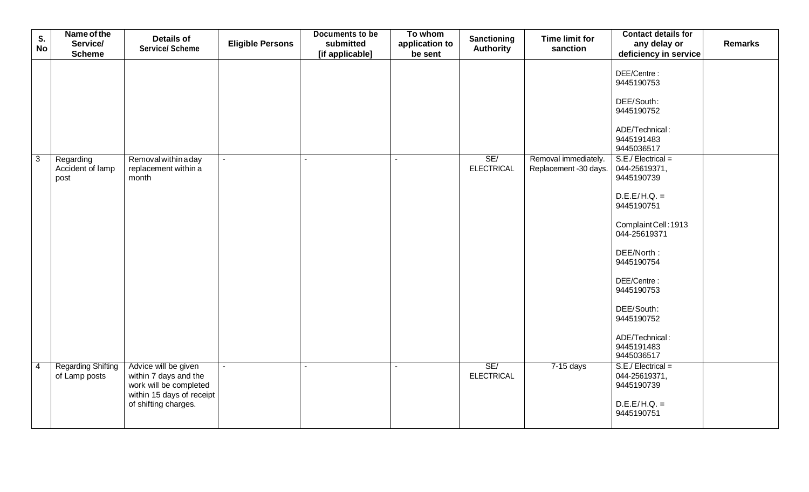| S.             | Name of the                                | <b>Details of</b>                                                                                                            | Documents to be              | To whom                   | Sanctioning              | <b>Time limit for</b>                         | <b>Contact details for</b>                                                                                                                                                                                                                                    |                |
|----------------|--------------------------------------------|------------------------------------------------------------------------------------------------------------------------------|------------------------------|---------------------------|--------------------------|-----------------------------------------------|---------------------------------------------------------------------------------------------------------------------------------------------------------------------------------------------------------------------------------------------------------------|----------------|
| <b>No</b>      | Service/<br><b>Scheme</b>                  | <b>Eligible Persons</b><br><b>Service/ Scheme</b>                                                                            | submitted<br>[if applicable] | application to<br>be sent | <b>Authority</b>         | sanction                                      | any delay or<br>deficiency in service                                                                                                                                                                                                                         | <b>Remarks</b> |
|                |                                            |                                                                                                                              |                              |                           |                          |                                               | DEE/Centre:<br>9445190753<br>DEE/South:<br>9445190752<br>ADE/Technical:<br>9445191483                                                                                                                                                                         |                |
|                |                                            |                                                                                                                              |                              |                           |                          |                                               | 9445036517                                                                                                                                                                                                                                                    |                |
| $\overline{3}$ | Regarding<br>Accident of lamp<br>post      | Removal within a day<br>replacement within a<br>month                                                                        | $\sim$                       | $\sim$                    | SE/<br><b>ELECTRICAL</b> | Removal immediately.<br>Replacement -30 days. | $S.E./Electrical =$<br>044-25619371,<br>9445190739<br>$D.E.E/H.Q. =$<br>9445190751<br>Complaint Cell: 1913<br>044-25619371<br>DEE/North:<br>9445190754<br>DEE/Centre:<br>9445190753<br>DEE/South:<br>9445190752<br>ADE/Technical:<br>9445191483<br>9445036517 |                |
| $\overline{4}$ | <b>Regarding Shifting</b><br>of Lamp posts | Advice will be given<br>within 7 days and the<br>work will be completed<br>within 15 days of receipt<br>of shifting charges. | $\overline{a}$               | $\mathbf{r}$              | SE/<br><b>ELECTRICAL</b> | 7-15 days                                     | $S.E./Electrical =$<br>044-25619371,<br>9445190739<br>$D.E.E/H.Q. =$<br>9445190751                                                                                                                                                                            |                |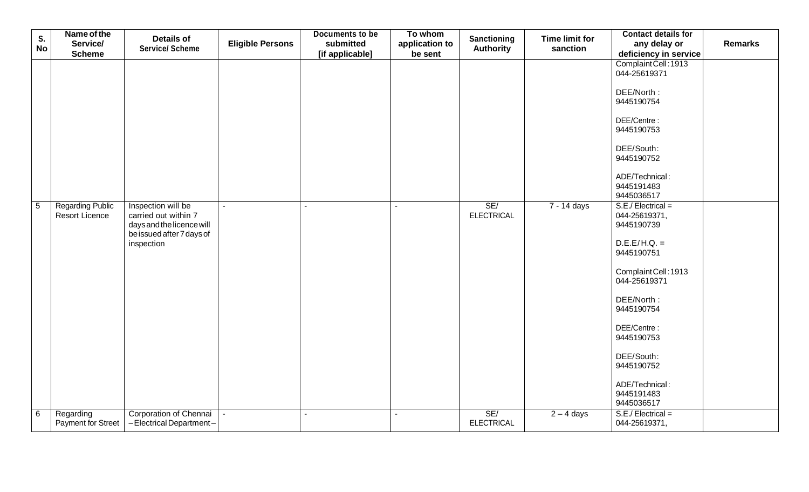|                 | Name of the                     |                                                   |                         | Documents to be | To whom                                           |                       |              | <b>Contact details for</b>  |  |
|-----------------|---------------------------------|---------------------------------------------------|-------------------------|-----------------|---------------------------------------------------|-----------------------|--------------|-----------------------------|--|
| S.<br><b>No</b> | Service/                        | <b>Details of</b>                                 | <b>Eligible Persons</b> | submitted       | Sanctioning<br>application to<br><b>Authority</b> | <b>Time limit for</b> | any delay or | <b>Remarks</b>              |  |
|                 | <b>Scheme</b>                   | <b>Service/ Scheme</b>                            |                         | [if applicable] | be sent                                           |                       | sanction     | deficiency in service       |  |
|                 |                                 |                                                   |                         |                 |                                                   |                       |              | Complaint Cell: 1913        |  |
|                 |                                 |                                                   |                         |                 |                                                   |                       |              | 044-25619371                |  |
|                 |                                 |                                                   |                         |                 |                                                   |                       |              |                             |  |
|                 |                                 |                                                   |                         |                 |                                                   |                       |              | DEE/North:                  |  |
|                 |                                 |                                                   |                         |                 |                                                   |                       |              | 9445190754                  |  |
|                 |                                 |                                                   |                         |                 |                                                   |                       |              | DEE/Centre:                 |  |
|                 |                                 |                                                   |                         |                 |                                                   |                       |              | 9445190753                  |  |
|                 |                                 |                                                   |                         |                 |                                                   |                       |              |                             |  |
|                 |                                 |                                                   |                         |                 |                                                   |                       |              | DEE/South:                  |  |
|                 |                                 |                                                   |                         |                 |                                                   |                       |              | 9445190752                  |  |
|                 |                                 |                                                   |                         |                 |                                                   |                       |              |                             |  |
|                 |                                 |                                                   |                         |                 |                                                   |                       |              | ADE/Technical:              |  |
|                 |                                 |                                                   |                         |                 |                                                   |                       |              | 9445191483                  |  |
|                 |                                 |                                                   |                         |                 |                                                   |                       |              | 9445036517                  |  |
| $\overline{5}$  | <b>Regarding Public</b>         | Inspection will be                                | $\sim$                  | ÷.              | $\sim$                                            | SE/                   | 7 - 14 days  | $S.E./Electrical =$         |  |
|                 | <b>Resort Licence</b>           | carried out within 7<br>days and the licence will |                         |                 |                                                   | <b>ELECTRICAL</b>     |              | 044-25619371,<br>9445190739 |  |
|                 |                                 | be issued after 7 days of                         |                         |                 |                                                   |                       |              |                             |  |
|                 |                                 | inspection                                        |                         |                 |                                                   |                       |              | $D.E.E/H.Q. =$              |  |
|                 |                                 |                                                   |                         |                 |                                                   |                       |              | 9445190751                  |  |
|                 |                                 |                                                   |                         |                 |                                                   |                       |              |                             |  |
|                 |                                 |                                                   |                         |                 |                                                   |                       |              | Complaint Cell: 1913        |  |
|                 |                                 |                                                   |                         |                 |                                                   |                       |              | 044-25619371                |  |
|                 |                                 |                                                   |                         |                 |                                                   |                       |              |                             |  |
|                 |                                 |                                                   |                         |                 |                                                   |                       |              | DEE/North:                  |  |
|                 |                                 |                                                   |                         |                 |                                                   |                       |              | 9445190754                  |  |
|                 |                                 |                                                   |                         |                 |                                                   |                       |              | DEE/Centre:                 |  |
|                 |                                 |                                                   |                         |                 |                                                   |                       |              | 9445190753                  |  |
|                 |                                 |                                                   |                         |                 |                                                   |                       |              |                             |  |
|                 |                                 |                                                   |                         |                 |                                                   |                       |              | DEE/South:                  |  |
|                 |                                 |                                                   |                         |                 |                                                   |                       |              | 9445190752                  |  |
|                 |                                 |                                                   |                         |                 |                                                   |                       |              |                             |  |
|                 |                                 |                                                   |                         |                 |                                                   |                       |              | ADE/Technical:              |  |
|                 |                                 |                                                   |                         |                 |                                                   |                       |              | 9445191483<br>9445036517    |  |
|                 |                                 | Corporation of Chennai                            | $\omega$                | $\mathcal{L}$   | $\mathcal{L}^{\mathcal{A}}$                       | SE/                   |              | $S.E./Electrical =$         |  |
| $6\phantom{1}6$ | Regarding<br>Payment for Street | -Electrical Department-                           |                         |                 |                                                   | <b>ELECTRICAL</b>     | $2 - 4$ days | 044-25619371,               |  |
|                 |                                 |                                                   |                         |                 |                                                   |                       |              |                             |  |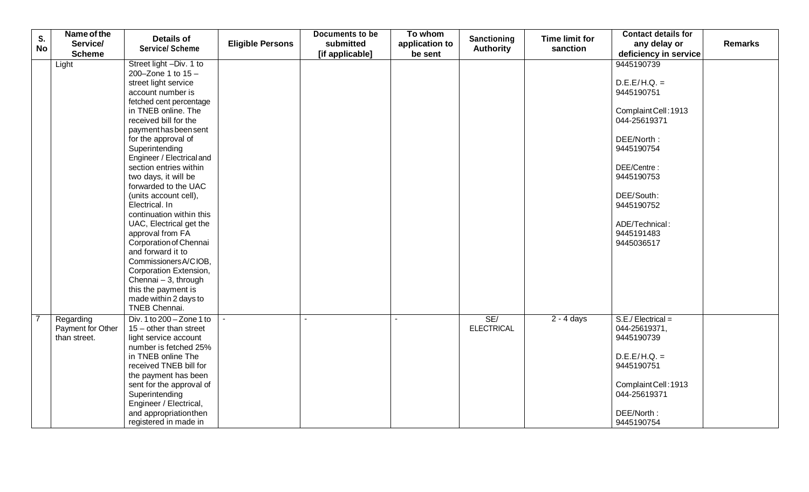|           | Name of the       |                           |                         | <b>Documents to be</b> | To whom        |                   |                       | <b>Contact details for</b> |                |
|-----------|-------------------|---------------------------|-------------------------|------------------------|----------------|-------------------|-----------------------|----------------------------|----------------|
| S.        | Service/          | <b>Details of</b>         | <b>Eligible Persons</b> | submitted              | application to | Sanctioning       | <b>Time limit for</b> | any delay or               | <b>Remarks</b> |
| <b>No</b> | <b>Scheme</b>     | <b>Service/ Scheme</b>    |                         | [if applicable]        | be sent        | <b>Authority</b>  | sanction              | deficiency in service      |                |
|           | Light             | Street light -Div. 1 to   |                         |                        |                |                   |                       | 9445190739                 |                |
|           |                   | 200-Zone 1 to $15 -$      |                         |                        |                |                   |                       |                            |                |
|           |                   | street light service      |                         |                        |                |                   |                       | $D.E.E/H.Q. =$             |                |
|           |                   | account number is         |                         |                        |                |                   |                       | 9445190751                 |                |
|           |                   | fetched cent percentage   |                         |                        |                |                   |                       |                            |                |
|           |                   | in TNEB online. The       |                         |                        |                |                   |                       | Complaint Cell: 1913       |                |
|           |                   | received bill for the     |                         |                        |                |                   |                       | 044-25619371               |                |
|           |                   | payment has been sent     |                         |                        |                |                   |                       |                            |                |
|           |                   | for the approval of       |                         |                        |                |                   |                       | DEE/North:                 |                |
|           |                   | Superintending            |                         |                        |                |                   |                       | 9445190754                 |                |
|           |                   | Engineer / Electrical and |                         |                        |                |                   |                       |                            |                |
|           |                   | section entries within    |                         |                        |                |                   |                       | DEE/Centre:                |                |
|           |                   | two days, it will be      |                         |                        |                |                   |                       | 9445190753                 |                |
|           |                   | forwarded to the UAC      |                         |                        |                |                   |                       |                            |                |
|           |                   | (units account cell),     |                         |                        |                |                   |                       | DEE/South:                 |                |
|           |                   | Electrical. In            |                         |                        |                |                   |                       | 9445190752                 |                |
|           |                   | continuation within this  |                         |                        |                |                   |                       |                            |                |
|           |                   | UAC, Electrical get the   |                         |                        |                |                   |                       | ADE/Technical:             |                |
|           |                   | approval from FA          |                         |                        |                |                   |                       | 9445191483                 |                |
|           |                   | Corporation of Chennai    |                         |                        |                |                   |                       | 9445036517                 |                |
|           |                   | and forward it to         |                         |                        |                |                   |                       |                            |                |
|           |                   | Commissioners A/CIOB,     |                         |                        |                |                   |                       |                            |                |
|           |                   | Corporation Extension,    |                         |                        |                |                   |                       |                            |                |
|           |                   | Chennai - 3, through      |                         |                        |                |                   |                       |                            |                |
|           |                   | this the payment is       |                         |                        |                |                   |                       |                            |                |
|           |                   | made within 2 days to     |                         |                        |                |                   |                       |                            |                |
|           |                   | TNEB Chennai.             |                         |                        |                |                   |                       |                            |                |
|           | Regarding         | Div. 1 to 200 - Zone 1 to |                         | $\overline{a}$         | ÷.             | SE/               | $2 - 4$ days          | $S.E./Electrical =$        |                |
|           | Payment for Other | $15$ – other than street  |                         |                        |                | <b>ELECTRICAL</b> |                       | 044-25619371,              |                |
|           | than street.      | light service account     |                         |                        |                |                   |                       | 9445190739                 |                |
|           |                   | number is fetched 25%     |                         |                        |                |                   |                       |                            |                |
|           |                   | in TNEB online The        |                         |                        |                |                   |                       | $D.E.E/H.Q. =$             |                |
|           |                   | received TNEB bill for    |                         |                        |                |                   |                       | 9445190751                 |                |
|           |                   | the payment has been      |                         |                        |                |                   |                       |                            |                |
|           |                   | sent for the approval of  |                         |                        |                |                   |                       | Complaint Cell: 1913       |                |
|           |                   | Superintending            |                         |                        |                |                   |                       | 044-25619371               |                |
|           |                   | Engineer / Electrical,    |                         |                        |                |                   |                       |                            |                |
|           |                   | and appropriation then    |                         |                        |                |                   |                       | DEE/North:                 |                |
|           |                   | registered in made in     |                         |                        |                |                   |                       | 9445190754                 |                |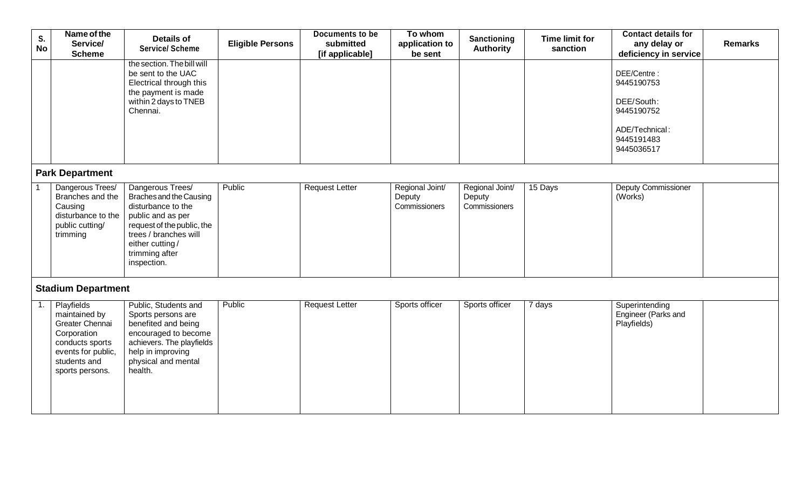| S.<br><b>No</b> | Name of the<br>Service/<br><b>Scheme</b>                                                                                                         | <b>Details of</b><br><b>Service/ Scheme</b>                                                                                                                                                       | <b>Eligible Persons</b> | Documents to be<br>submitted<br>[if applicable] | To whom<br>application to<br>be sent       | <b>Sanctioning</b><br><b>Authority</b>     | <b>Time limit for</b><br>sanction | <b>Contact details for</b><br>any delay or<br>deficiency in service                                 | <b>Remarks</b> |  |
|-----------------|--------------------------------------------------------------------------------------------------------------------------------------------------|---------------------------------------------------------------------------------------------------------------------------------------------------------------------------------------------------|-------------------------|-------------------------------------------------|--------------------------------------------|--------------------------------------------|-----------------------------------|-----------------------------------------------------------------------------------------------------|----------------|--|
|                 |                                                                                                                                                  | the section. The bill will<br>be sent to the UAC<br>Electrical through this<br>the payment is made<br>within 2 days to TNEB<br>Chennai.                                                           |                         |                                                 |                                            |                                            |                                   | DEE/Centre:<br>9445190753<br>DEE/South:<br>9445190752<br>ADE/Technical:<br>9445191483<br>9445036517 |                |  |
|                 | <b>Park Department</b>                                                                                                                           |                                                                                                                                                                                                   |                         |                                                 |                                            |                                            |                                   |                                                                                                     |                |  |
|                 | Dangerous Trees/<br>Branches and the<br>Causing<br>disturbance to the<br>public cutting/<br>trimming                                             | Dangerous Trees/<br>Braches and the Causing<br>disturbance to the<br>public and as per<br>request of the public, the<br>trees / branches will<br>either cutting/<br>trimming after<br>inspection. | Public                  | <b>Request Letter</b>                           | Regional Joint/<br>Deputy<br>Commissioners | Regional Joint/<br>Deputy<br>Commissioners | 15 Days                           | <b>Deputy Commissioner</b><br>(Works)                                                               |                |  |
|                 | <b>Stadium Department</b>                                                                                                                        |                                                                                                                                                                                                   |                         |                                                 |                                            |                                            |                                   |                                                                                                     |                |  |
| 1.              | <b>Playfields</b><br>maintained by<br>Greater Chennai<br>Corporation<br>conducts sports<br>events for public,<br>students and<br>sports persons. | Public, Students and<br>Sports persons are<br>benefited and being<br>encouraged to become<br>achievers. The playfields<br>help in improving<br>physical and mental<br>health.                     | Public                  | <b>Request Letter</b>                           | Sports officer                             | Sports officer                             | 7 days                            | Superintending<br>Engineer (Parks and<br>Playfields)                                                |                |  |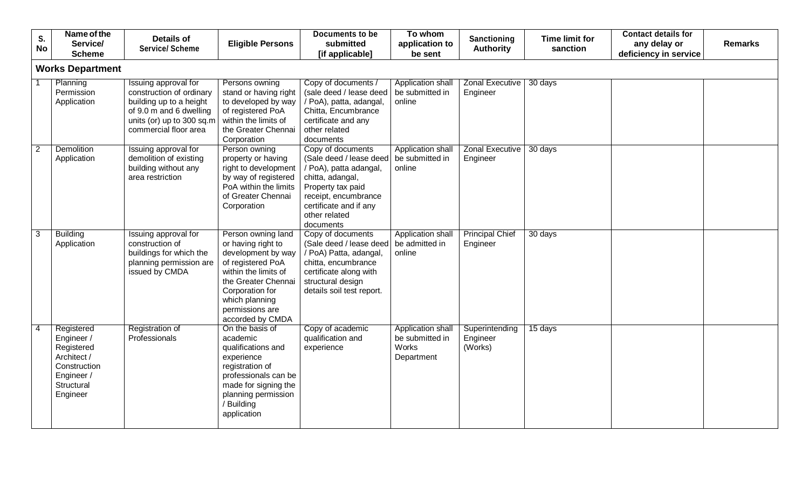| S.<br><b>No</b> | Name of the<br>Service/                                                                                       | <b>Details of</b><br><b>Service/ Scheme</b>                                                                                                                  | <b>Eligible Persons</b>                                                                                                                                                                                        | Documents to be<br>submitted                                                                                                                                                                    | To whom<br>application to                                   | Sanctioning<br><b>Authority</b>       | <b>Time limit for</b><br>sanction | <b>Contact details for</b><br>any delay or | <b>Remarks</b> |
|-----------------|---------------------------------------------------------------------------------------------------------------|--------------------------------------------------------------------------------------------------------------------------------------------------------------|----------------------------------------------------------------------------------------------------------------------------------------------------------------------------------------------------------------|-------------------------------------------------------------------------------------------------------------------------------------------------------------------------------------------------|-------------------------------------------------------------|---------------------------------------|-----------------------------------|--------------------------------------------|----------------|
|                 | <b>Scheme</b><br><b>Works Department</b>                                                                      |                                                                                                                                                              |                                                                                                                                                                                                                | [if applicable]                                                                                                                                                                                 | be sent                                                     |                                       |                                   | deficiency in service                      |                |
|                 |                                                                                                               |                                                                                                                                                              |                                                                                                                                                                                                                |                                                                                                                                                                                                 |                                                             |                                       |                                   |                                            |                |
|                 | Planning<br>Permission<br>Application                                                                         | Issuing approval for<br>construction of ordinary<br>building up to a height<br>of 9.0 m and 6 dwelling<br>units (or) up to 300 sq.m<br>commercial floor area | Persons owning<br>stand or having right<br>to developed by way<br>of registered PoA<br>within the limits of<br>the Greater Chennai<br>Corporation                                                              | Copy of documents /<br>(sale deed / lease deed<br>/ PoA), patta, adangal,<br>Chitta, Encumbrance<br>certificate and any<br>other related<br>documents                                           | Application shall<br>be submitted in<br>online              | <b>Zonal Executive</b><br>Engineer    | 30 days                           |                                            |                |
| $\overline{2}$  | <b>Demolition</b><br>Application                                                                              | Issuing approval for<br>demolition of existing<br>building without any<br>area restriction                                                                   | Person owning<br>property or having<br>right to development<br>by way of registered<br>PoA within the limits<br>of Greater Chennai<br>Corporation                                                              | Copy of documents<br>(Sale deed / lease deed<br>/ PoA), patta adangal,<br>chitta, adangal,<br>Property tax paid<br>receipt, encumbrance<br>certificate and if any<br>other related<br>documents | Application shall<br>be submitted in<br>online              | <b>Zonal Executive</b><br>Engineer    | 30 days                           |                                            |                |
| 3               | Building<br>Application                                                                                       | Issuing approval for<br>construction of<br>buildings for which the<br>planning permission are<br>issued by CMDA                                              | Person owning land<br>or having right to<br>development by way<br>of registered PoA<br>within the limits of<br>the Greater Chennai<br>Corporation for<br>which planning<br>permissions are<br>accorded by CMDA | Copy of documents<br>(Sale deed / lease deed<br>/ PoA) Patta, adangal,<br>chitta, encumbrance<br>certificate along with<br>structural design<br>details soil test report.                       | Application shal<br>be admitted in<br>online                | <b>Principal Chief</b><br>Engineer    | 30 days                           |                                            |                |
|                 | Registered<br>Engineer /<br>Registered<br>Architect /<br>Construction<br>Engineer /<br>Structural<br>Engineer | <b>Registration of</b><br>Professionals                                                                                                                      | On the basis of<br>academic<br>qualifications and<br>experience<br>registration of<br>professionals can be<br>made for signing the<br>planning permission<br>/ Building<br>application                         | Copy of academic<br>qualification and<br>experience                                                                                                                                             | Application shall<br>be submitted in<br>Works<br>Department | Superintending<br>Engineer<br>(Works) | 15 days                           |                                            |                |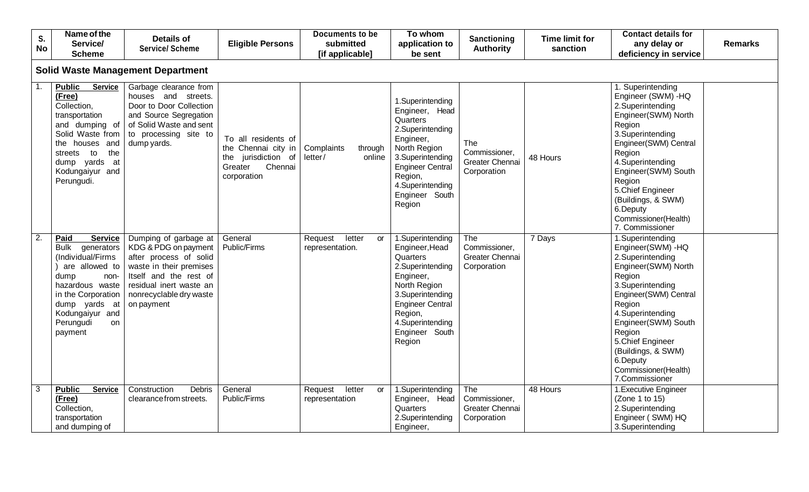| S.<br><b>No</b>  | Name of the<br>Service/<br><b>Scheme</b>                                                                                                                                                                              | <b>Details of</b><br><b>Service/ Scheme</b>                                                                                                                                                      | <b>Eligible Persons</b>                                                                                   | <b>Documents to be</b><br>submitted<br>[if applicable] | To whom<br>application to<br>be sent                                                                                                                                                                      | Sanctioning<br><b>Authority</b>                        | <b>Time limit for</b><br>sanction | <b>Contact details for</b><br><b>Remarks</b><br>any delay or<br>deficiency in service                                                                                                                                                                                                                       |  |  |  |  |
|------------------|-----------------------------------------------------------------------------------------------------------------------------------------------------------------------------------------------------------------------|--------------------------------------------------------------------------------------------------------------------------------------------------------------------------------------------------|-----------------------------------------------------------------------------------------------------------|--------------------------------------------------------|-----------------------------------------------------------------------------------------------------------------------------------------------------------------------------------------------------------|--------------------------------------------------------|-----------------------------------|-------------------------------------------------------------------------------------------------------------------------------------------------------------------------------------------------------------------------------------------------------------------------------------------------------------|--|--|--|--|
|                  | <b>Solid Waste Management Department</b>                                                                                                                                                                              |                                                                                                                                                                                                  |                                                                                                           |                                                        |                                                                                                                                                                                                           |                                                        |                                   |                                                                                                                                                                                                                                                                                                             |  |  |  |  |
| -1.              | <b>Public</b><br><b>Service</b><br>(Free)<br>Collection,<br>transportation<br>and dumping of<br>Solid Waste from<br>the houses and<br>the<br>to<br>streets<br>dump yards<br>at<br>Kodungaiyur and<br>Perungudi.       | Garbage clearance from<br>houses and streets.<br>Door to Door Collection<br>and Source Segregation<br>of Solid Waste and sent<br>to processing site to<br>dump yards.                            | To all residents of<br>the Chennai city in<br>jurisdiction of<br>the<br>Greater<br>Chennai<br>corporation | Complaints<br>through<br>letter/<br>online             | 1.Superintending<br>Engineer, Head<br>Quarters<br>2.Superintending<br>Engineer,<br>North Region<br>3.Superintending<br><b>Engineer Central</b><br>Region,<br>4.Superintending<br>Engineer South<br>Region | The<br>Commissioner,<br>Greater Chennai<br>Corporation | 48 Hours                          | 1. Superintending<br>Engineer (SWM) - HQ<br>2. Superintending<br>Engineer(SWM) North<br>Region<br>3.Superintending<br>Engineer(SWM) Central<br>Region<br>4.Superintending<br>Engineer(SWM) South<br>Region<br>5.Chief Engineer<br>(Buildings, & SWM)<br>6.Deputy<br>Commissioner(Health)<br>7. Commissioner |  |  |  |  |
| $\overline{2}$ . | Paid<br><b>Service</b><br>generators<br><b>Bulk</b><br>(Individual/Firms<br>are allowed to<br>dump<br>non-<br>hazardous waste<br>in the Corporation<br>dump yards at<br>Kodungaiyur and<br>Perungudi<br>on<br>payment | Dumping of garbage at<br>KDG & PDG on payment<br>after process of solid<br>waste in their premises<br>Itself and the rest of<br>residual inert waste an<br>nonrecyclable dry waste<br>on payment | General<br>Public/Firms                                                                                   | letter<br>Request<br>or<br>representation.             | 1.Superintending<br>Engineer, Head<br>Quarters<br>2.Superintending<br>Engineer,<br>North Region<br>3.Superintending<br><b>Engineer Central</b><br>Region,<br>4.Superintending<br>Engineer South<br>Region | The<br>Commissioner,<br>Greater Chennai<br>Corporation | 7 Days                            | 1.Superintending<br>Engineer(SWM) - HQ<br>2.Superintending<br>Engineer(SWM) North<br>Region<br>3.Superintending<br>Engineer(SWM) Central<br>Region<br>4.Superintending<br>Engineer(SWM) South<br>Region<br>5.Chief Engineer<br>(Buildings, & SWM)<br>6.Deputy<br>Commissioner(Health)<br>7.Commissioner     |  |  |  |  |
| 3                | <b>Service</b><br><b>Public</b><br>(Free)<br>Collection,<br>transportation<br>and dumping of                                                                                                                          | Construction<br>Debris<br>clearance from streets.                                                                                                                                                | General<br>Public/Firms                                                                                   | letter<br>Request<br>or<br>representation              | 1.Superintending<br>Engineer, Head<br>Quarters<br>2.Superintending<br>Engineer,                                                                                                                           | The<br>Commissioner,<br>Greater Chennai<br>Corporation | 48 Hours                          | 1. Executive Engineer<br>(Zone 1 to 15)<br>2.Superintending<br>Engineer (SWM) HQ<br>3.Superintending                                                                                                                                                                                                        |  |  |  |  |